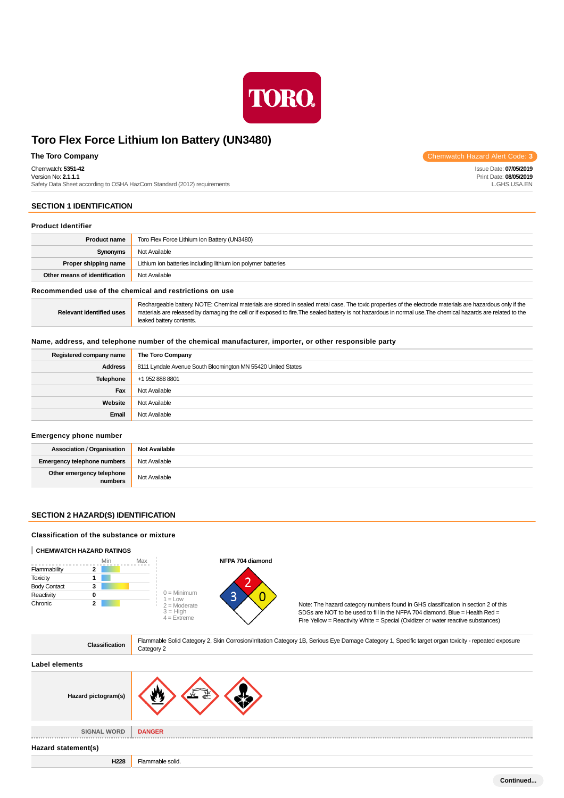

Chemwatch: **5351-42**

Version No: **2.1.1.1**

Safety Data Sheet according to OSHA HazCom Standard (2012) requirements

## **SECTION 1 IDENTIFICATION**

### **Product Identifier**

| <b>Product name</b>           | Toro Flex Force Lithium Ion Battery (UN3480)                  |
|-------------------------------|---------------------------------------------------------------|
| Synonyms                      | Not Available                                                 |
| Proper shipping name          | Lithium ion batteries including lithium ion polymer batteries |
| Other means of identification | Not Available                                                 |

### **Recommended use of the chemical and restrictions on use**

**Relevant identified uses** Rechargeable battery. NOTE: Chemical materials are stored in sealed metal case. The toxic properties of the electrode materials are hazardous only if the materials are released by damaging the cell or if exposed to fire.The sealed battery is not hazardous in normal use.The chemical hazards are related to the leaked battery contents.

### **Name, address, and telephone number of the chemical manufacturer, importer, or other responsible party**

| Registered company name | The Toro Company                                             |
|-------------------------|--------------------------------------------------------------|
| <b>Address</b>          | 8111 Lyndale Avenue South Bloomington MN 55420 United States |
| <b>Telephone</b>        | +1 952 888 8801                                              |
| Fax                     | Not Available                                                |
| Website                 | Not Available                                                |
| Email                   | Not Available                                                |

### **Emergency phone number**

| <b>Association / Organisation</b>    | <b>Not Available</b> |
|--------------------------------------|----------------------|
| <b>Emergency telephone numbers</b>   | Not Available        |
| Other emergency telephone<br>numbers | Not Available        |

## **SECTION 2 HAZARD(S) IDENTIFICATION**

## **Classification of the substance or mixture**

### **CHEMWATCH HAZARD RATINGS**



| Hazard pictogram(s) | .                |
|---------------------|------------------|
| <b>SIGNAL WORD</b>  | <b>DANGER</b>    |
| Hazard statement(s) |                  |
| H228                | Flammable solid. |

**The Toro Company** Chemwatch Hazard Alert Code: 3

Issue Date: **07/05/2019** Print Date: **08/05/2019** L.GHS.USA.EN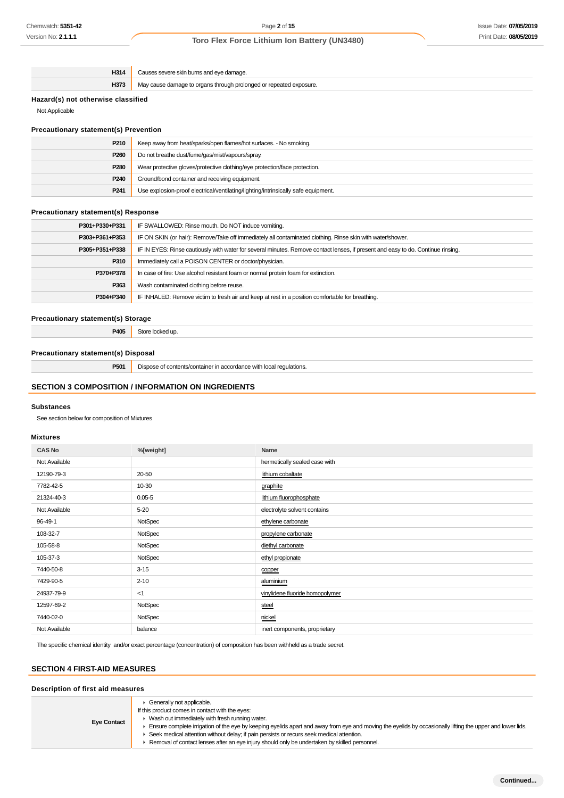## Issue Date: **07/05/2019** Print Date: **08/05/2019**

## **Toro Flex Force Lithium Ion Battery (UN3480)**

| H314 | Causes severe skin burns and eye damage.                           |
|------|--------------------------------------------------------------------|
| H373 | May cause damage to organs through prolonged or repeated exposure. |
|      |                                                                    |

## **Hazard(s) not otherwise classified**

Not Applicable

## **Precautionary statement(s) Prevention**

| P <sub>210</sub> | Keep away from heat/sparks/open flames/hot surfaces. - No smoking.                |
|------------------|-----------------------------------------------------------------------------------|
| P <sub>260</sub> | Do not breathe dust/fume/gas/mist/vapours/spray.                                  |
| P280             | Wear protective gloves/protective clothing/eye protection/face protection.        |
| P <sub>240</sub> | Ground/bond container and receiving equipment.                                    |
| P <sub>241</sub> | Use explosion-proof electrical/ventilating/lighting/intrinsically safe equipment. |

## **Precautionary statement(s) Response**

| IF SWALLOWED: Rinse mouth. Do NOT induce vomiting.                                                                               |
|----------------------------------------------------------------------------------------------------------------------------------|
| IF ON SKIN (or hair): Remove/Take off immediately all contaminated clothing. Rinse skin with water/shower.                       |
| IF IN EYES: Rinse cautiously with water for several minutes. Remove contact lenses, if present and easy to do. Continue rinsing. |
| Immediately call a POISON CENTER or doctor/physician.                                                                            |
| In case of fire: Use alcohol resistant foam or normal protein foam for extinction.                                               |
| Wash contaminated clothing before reuse.                                                                                         |
| IF INHALED: Remove victim to fresh air and keep at rest in a position comfortable for breathing.                                 |
|                                                                                                                                  |

## **Precautionary statement(s) Storage**

**P405** Store locked up.

### **Precautionary statement(s) Disposal**

**P501** Dispose of contents/container in accordance with local regulations.

## **SECTION 3 COMPOSITION / INFORMATION ON INGREDIENTS**

### **Substances**

See section below for composition of Mixtures

### **Mixtures**

| <b>CAS No</b> | %[weight]  | Name                            |
|---------------|------------|---------------------------------|
| Not Available |            | hermetically sealed case with   |
| 12190-79-3    | 20-50      | lithium cobaltate               |
| 7782-42-5     | 10-30      | graphite                        |
| 21324-40-3    | $0.05 - 5$ | lithium fluorophosphate         |
| Not Available | $5 - 20$   | electrolyte solvent contains    |
| 96-49-1       | NotSpec    | ethylene carbonate              |
| 108-32-7      | NotSpec    | propylene carbonate             |
| 105-58-8      | NotSpec    | diethyl carbonate               |
| 105-37-3      | NotSpec    | ethyl propionate                |
| 7440-50-8     | $3 - 15$   | copper                          |
| 7429-90-5     | $2 - 10$   | aluminium                       |
| 24937-79-9    | < 1        | vinylidene fluoride homopolymer |
| 12597-69-2    | NotSpec    | steel                           |
| 7440-02-0     | NotSpec    | nickel                          |
| Not Available | balance    | inert components, proprietary   |

The specific chemical identity and/or exact percentage (concentration) of composition has been withheld as a trade secret.

## **SECTION 4 FIRST-AID MEASURES**

| Description of first aid measures |                                                                                                                                                                                                                                                                                                                                                                                                                                                                                                                                     |
|-----------------------------------|-------------------------------------------------------------------------------------------------------------------------------------------------------------------------------------------------------------------------------------------------------------------------------------------------------------------------------------------------------------------------------------------------------------------------------------------------------------------------------------------------------------------------------------|
| <b>Eye Contact</b>                | $\triangleright$ Generally not applicable.<br>If this product comes in contact with the eyes:<br>$\blacktriangleright$ Wash out immediately with fresh running water.<br>Ensure complete irrigation of the eye by keeping eyelids apart and away from eye and moving the eyelids by occasionally lifting the upper and lower lids.<br>► Seek medical attention without delay; if pain persists or recurs seek medical attention.<br>► Removal of contact lenses after an eye injury should only be undertaken by skilled personnel. |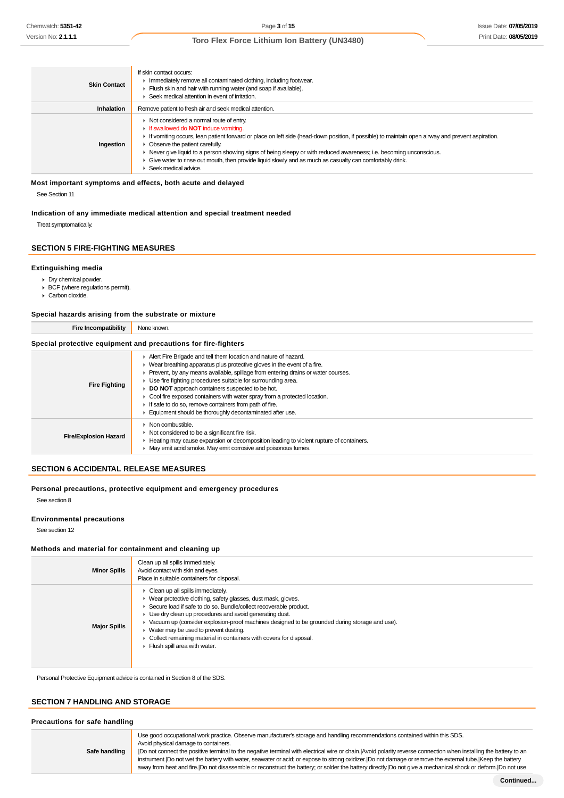| <b>Skin Contact</b> | If skin contact occurs:<br>Inmediately remove all contaminated clothing, including footwear.<br>Flush skin and hair with running water (and soap if available).<br>▶ Seek medical attention in event of irritation.                                                                                                                                                                                                                                                                                                                                               |
|---------------------|-------------------------------------------------------------------------------------------------------------------------------------------------------------------------------------------------------------------------------------------------------------------------------------------------------------------------------------------------------------------------------------------------------------------------------------------------------------------------------------------------------------------------------------------------------------------|
| Inhalation          | Remove patient to fresh air and seek medical attention.                                                                                                                                                                                                                                                                                                                                                                                                                                                                                                           |
| Ingestion           | • Not considered a normal route of entry.<br><b>If swallowed do NOT induce vomiting.</b><br>If vomiting occurs, lean patient forward or place on left side (head-down position, if possible) to maintain open airway and prevent aspiration.<br>• Observe the patient carefully.<br>► Never give liquid to a person showing signs of being sleepy or with reduced awareness; i.e. becoming unconscious.<br>Give water to rinse out mouth, then provide liquid slowly and as much as casualty can comfortably drink.<br>$\blacktriangleright$ Seek medical advice. |

### **Most important symptoms and effects, both acute and delayed**

See Section 11

### **Indication of any immediate medical attention and special treatment needed**

Treat symptomatically.

## **SECTION 5 FIRE-FIGHTING MEASURES**

### **Extinguishing media**

- Dry chemical powder.
- BCF (where regulations permit).
- Carbon dioxide.

### **Special hazards arising from the substrate or mixture**

**Fire Incompatibility** None known.

### **Special protective equipment and precautions for fire-fighters**

| <b>Fire Fighting</b>         | Alert Fire Brigade and tell them location and nature of hazard.<br>$\blacktriangleright$ Wear breathing apparatus plus protective gloves in the event of a fire.<br>Prevent, by any means available, spillage from entering drains or water courses.<br>► Use fire fighting procedures suitable for surrounding area.<br><b>DO NOT</b> approach containers suspected to be hot.<br>Cool fire exposed containers with water spray from a protected location.<br>If safe to do so, remove containers from path of fire. |
|------------------------------|-----------------------------------------------------------------------------------------------------------------------------------------------------------------------------------------------------------------------------------------------------------------------------------------------------------------------------------------------------------------------------------------------------------------------------------------------------------------------------------------------------------------------|
| <b>Fire/Explosion Hazard</b> | Equipment should be thoroughly decontaminated after use.<br>$\blacktriangleright$ Non combustible.<br>Not considered to be a significant fire risk.<br>► Heating may cause expansion or decomposition leading to violent rupture of containers.<br>May emit acrid smoke. May emit corrosive and poisonous fumes.                                                                                                                                                                                                      |

## **SECTION 6 ACCIDENTAL RELEASE MEASURES**

### **Personal precautions, protective equipment and emergency procedures**

See section 8

#### **Environmental precautions**

See section 12

### **Methods and material for containment and cleaning up**

| <b>Minor Spills</b> | Clean up all spills immediately.<br>Avoid contact with skin and eyes.<br>Place in suitable containers for disposal.                                                                                                                                                                                                                                                                                                                                                                                                                             |
|---------------------|-------------------------------------------------------------------------------------------------------------------------------------------------------------------------------------------------------------------------------------------------------------------------------------------------------------------------------------------------------------------------------------------------------------------------------------------------------------------------------------------------------------------------------------------------|
| <b>Major Spills</b> | $\triangleright$ Clean up all spills immediately.<br>• Wear protective clothing, safety glasses, dust mask, gloves.<br>Secure load if safe to do so. Bundle/collect recoverable product.<br>• Use dry clean up procedures and avoid generating dust.<br>► Vacuum up (consider explosion-proof machines designed to be grounded during storage and use).<br>$\triangleright$ Water may be used to prevent dusting.<br>• Collect remaining material in containers with covers for disposal.<br>$\blacktriangleright$ Flush spill area with water. |

Personal Protective Equipment advice is contained in Section 8 of the SDS.

### **SECTION 7 HANDLING AND STORAGE**

### **Precautions for safe handling**

**Safe handling** Use good occupational work practice. Observe manufacturer's storage and handling recommendations contained within this SDS. Avoid physical damage to containers. |Do not connect the positive terminal to the negative terminal with electrical wire or chain.|Avoid polarity reverse connection when installing the battery to an instrument.|Do not wet the battery with water, seawater or acid; or expose to strong oxidizer.|Do not damage or remove the external tube.|Keep the battery away from heat and fire.|Do not disassemble or reconstruct the battery; or solder the battery directly.|Do not give a mechanical shock or deform.|Do not use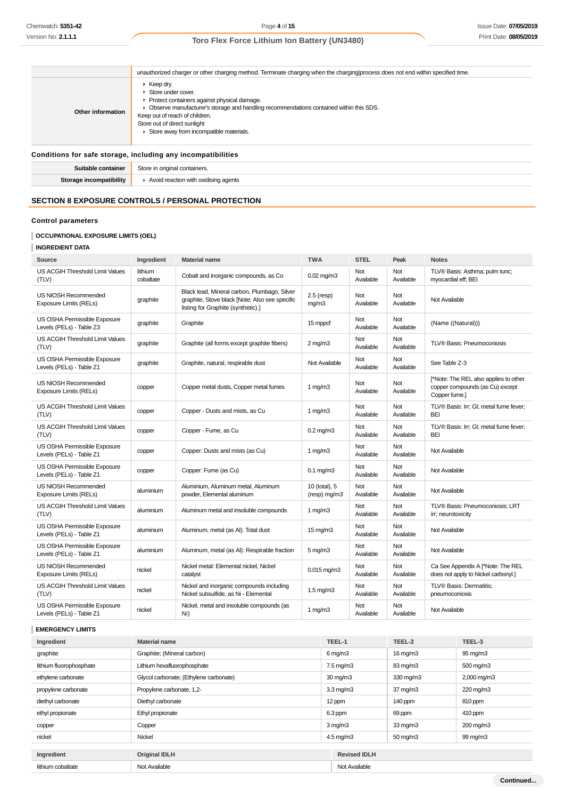|                                                              | unauthorized charger or other charging method. Terminate charging when the charging process does not end within specified time.                                                                                                                                                                                             |  |  |
|--------------------------------------------------------------|-----------------------------------------------------------------------------------------------------------------------------------------------------------------------------------------------------------------------------------------------------------------------------------------------------------------------------|--|--|
| Other information                                            | $\triangleright$ Keep dry.<br>$\triangleright$ Store under cover.<br>▶ Protect containers against physical damage.<br>• Observe manufacturer's storage and handling recommendations contained within this SDS.<br>Keep out of reach of children.<br>Store out of direct sunlight<br>Store away from incompatible materials. |  |  |
| Conditions for safe storage, including any incompatibilities |                                                                                                                                                                                                                                                                                                                             |  |  |
| Suitable container                                           | Store in original containers.                                                                                                                                                                                                                                                                                               |  |  |
| Storage incompatibility                                      | $\blacktriangleright$ Avoid reaction with oxidising agents                                                                                                                                                                                                                                                                  |  |  |

## **SECTION 8 EXPOSURE CONTROLS / PERSONAL PROTECTION**

### **Control parameters**

## **OCCUPATIONAL EXPOSURE LIMITS (OEL)**

| Source                                                   | Ingredient           | <b>Material name</b>                                                                                                                 | <b>TWA</b>                    | <b>STEL</b>      | Peak             | <b>Notes</b>                                                                              |
|----------------------------------------------------------|----------------------|--------------------------------------------------------------------------------------------------------------------------------------|-------------------------------|------------------|------------------|-------------------------------------------------------------------------------------------|
| US ACGIH Threshold Limit Values<br>(TLV)                 | lithium<br>cobaltate | Cobalt and inorganic compounds, as Co                                                                                                | $0.02$ mg/m $3$               | Not<br>Available | Not<br>Available | TLV® Basis: Asthma; pulm tunc;<br>myocardial eff; BEI                                     |
| US NIOSH Recommended<br><b>Exposure Limits (RELs)</b>    | graphite             | Black lead, Mineral carbon, Plumbago, Silver<br>graphite, Stove black [Note: Also see specific<br>listing for Graphite (synthetic).] | $2.5$ (resp)<br>mg/m3         | Not<br>Available | Not<br>Available | Not Available                                                                             |
| US OSHA Permissible Exposure<br>Levels (PELs) - Table Z3 | graphite             | Graphite                                                                                                                             | 15 mppcf                      | Not<br>Available | Not<br>Available | (Name ((Natural)))                                                                        |
| US ACGIH Threshold Limit Values<br>(TLV)                 | graphite             | Graphite (all forms except graphite fibers)                                                                                          | $2$ mg/m $3$                  | Not<br>Available | Not<br>Available | <b>TLV® Basis: Pneumoconiosis</b>                                                         |
| US OSHA Permissible Exposure<br>Levels (PELs) - Table Z1 | graphite             | Graphite, natural, respirable dust                                                                                                   | Not Available                 | Not<br>Available | Not<br>Available | See Table Z-3                                                                             |
| US NIOSH Recommended<br>Exposure Limits (RELs)           | copper               | Copper metal dusts, Copper metal fumes                                                                                               | $1 \text{ mg/m}$              | Not<br>Available | Not<br>Available | [*Note: The REL also applies to other<br>copper compounds (as Cu) except<br>Copper fume.] |
| US ACGIH Threshold Limit Values<br>(TLV)                 | copper               | Copper - Dusts and mists, as Cu                                                                                                      | 1 $mq/m3$                     | Not<br>Available | Not<br>Available | TLV® Basis: Irr; GI; metal fume fever;<br><b>BEI</b>                                      |
| US ACGIH Threshold Limit Values<br>(TLV)                 | copper               | Copper - Fume, as Cu                                                                                                                 | $0.2$ mg/m $3$                | Not<br>Available | Not<br>Available | TLV® Basis: Irr; GI; metal fume fever;<br><b>BEI</b>                                      |
| US OSHA Permissible Exposure<br>Levels (PELs) - Table Z1 | copper               | Copper: Dusts and mists (as Cu)                                                                                                      | $1 \text{ mg/m}$              | Not<br>Available | Not<br>Available | Not Available                                                                             |
| US OSHA Permissible Exposure<br>Levels (PELs) - Table Z1 | copper               | Copper: Fume (as Cu)                                                                                                                 | $0.1 \text{ mg/m}$ 3          | Not<br>Available | Not<br>Available | Not Available                                                                             |
| US NIOSH Recommended<br><b>Exposure Limits (RELs)</b>    | aluminium            | Aluminium, Aluminum metal, Aluminum<br>powder. Elemental aluminum                                                                    | 10 (total), 5<br>(resp) mg/m3 | Not<br>Available | Not<br>Available | Not Available                                                                             |
| US ACGIH Threshold Limit Values<br>(TLV)                 | aluminium            | Aluminum metal and insoluble compounds                                                                                               | 1 $mq/m3$                     | Not<br>Available | Not<br>Available | TLV® Basis: Pneumoconiosis; LRT<br>irr; neurotoxicity                                     |
| US OSHA Permissible Exposure<br>Levels (PELs) - Table Z1 | aluminium            | Aluminum, metal (as Al): Total dust                                                                                                  | $15 \text{ mg/m}$             | Not<br>Available | Not<br>Available | Not Available                                                                             |
| US OSHA Permissible Exposure<br>Levels (PELs) - Table Z1 | aluminium            | Aluminum, metal (as Al): Respirable fraction                                                                                         | $5 \,\mathrm{mg/m}$           | Not<br>Available | Not<br>Available | Not Available                                                                             |
| US NIOSH Recommended<br>Exposure Limits (RELs)           | nickel               | Nickel metal: Elemental nickel, Nickel<br>catalyst                                                                                   | $0.015$ mg/m $3$              | Not<br>Available | Not<br>Available | Ca See Appendix A [*Note: The REL<br>does not apply to Nickel carbonyl.]                  |
| US ACGIH Threshold Limit Values<br>(TLV)                 | nickel               | Nickel and inorganic compounds including<br>Nickel subsulfide, as Ni - Elemental                                                     | $1.5 \text{ mg/m}$            | Not<br>Available | Not<br>Available | TLV® Basis: Dermatitis;<br>pneumoconiosis                                                 |
| US OSHA Permissible Exposure<br>Levels (PELs) - Table Z1 | nickel               | Nickel, metal and insoluble compounds (as<br>Ni)                                                                                     | $1 \text{ mg/m}$              | Not<br>Available | Not<br>Available | Not Available                                                                             |

## **EMERGENCY LIMITS**

| Ingredient              | <b>Material name</b>                   | TEEL-1               | TEEL-2              | TEEL-3      |
|-------------------------|----------------------------------------|----------------------|---------------------|-------------|
| graphite                | Graphite; (Mineral carbon)             | $6 \,\mathrm{mq/m3}$ | $16 \text{ mg/m}$   | 95 mg/m3    |
| lithium fluorophosphate | Lithium hexafluorophosphate            | $7.5 \text{ mg/m}$ 3 | 83 mg/m3            | 500 mg/m3   |
| ethylene carbonate      | Glycol carbonate; (Ethylene carbonate) | $30 \text{ mg/m}$    | 330 mg/m3           | 2,000 mg/m3 |
| propylene carbonate     | Propylene carbonate, 1,2-              | $3.3 \text{ mg/m}$   | $37 \text{ mg/m}$   | 220 mg/m3   |
| diethyl carbonate       | Diethyl carbonate                      | 12 ppm               | 140 ppm             | 810 ppm     |
| ethyl propionate        | Ethyl propionate                       | 6.3 ppm              | 69 ppm              | 410 ppm     |
| copper                  | Copper                                 | $3 \,\mathrm{mq/m}$  | $33 \text{ mg/m}$   | 200 mg/m3   |
| nickel                  | Nickel                                 | $4.5 \text{ mg/m}$ 3 | $50 \text{ mg/m}$ 3 | 99 mg/m3    |
|                         |                                        |                      |                     |             |
| Ingredient              | <b>Original IDLH</b>                   | <b>Revised IDLH</b>  |                     |             |
| lithium cobaltate       | Not Available                          | Not Available        |                     |             |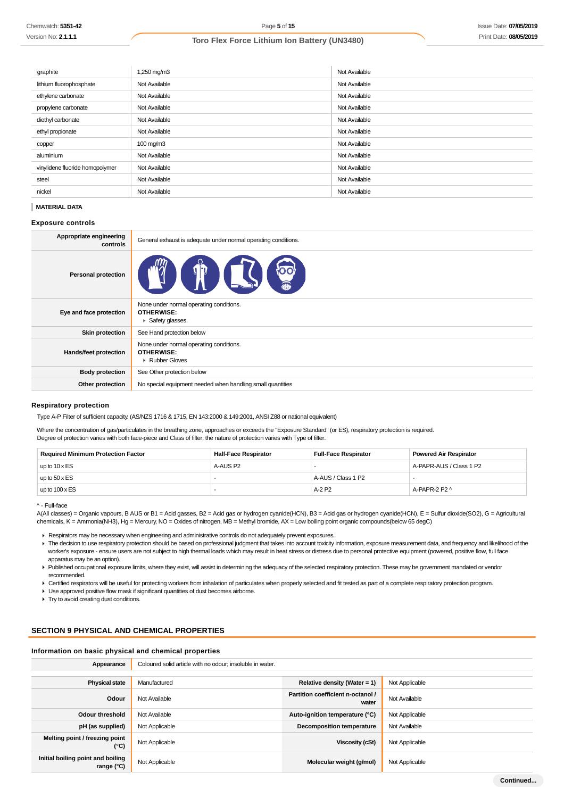| graphite                        | 1,250 mg/m3          | Not Available |
|---------------------------------|----------------------|---------------|
| lithium fluorophosphate         | Not Available        | Not Available |
| ethylene carbonate              | Not Available        | Not Available |
| propylene carbonate             | Not Available        | Not Available |
| diethyl carbonate               | Not Available        | Not Available |
| ethyl propionate                | Not Available        | Not Available |
| copper                          | $100 \text{ mg/m}$ 3 | Not Available |
| aluminium                       | Not Available        | Not Available |
| vinylidene fluoride homopolymer | Not Available        | Not Available |
| steel                           | Not Available        | Not Available |
| nickel                          | Not Available        | Not Available |

### **MATERIAL DATA**

### **Exposure controls**

| Appropriate engineering<br>controls | General exhaust is adequate under normal operating conditions.                  |
|-------------------------------------|---------------------------------------------------------------------------------|
| <b>Personal protection</b>          | OO<br>$\mathbf{q}$                                                              |
| Eye and face protection             | None under normal operating conditions.<br><b>OTHERWISE:</b><br>Safety glasses. |
| <b>Skin protection</b>              | See Hand protection below                                                       |
| Hands/feet protection               | None under normal operating conditions.<br><b>OTHERWISE:</b><br>▶ Rubber Gloves |
| <b>Body protection</b>              | See Other protection below                                                      |
| Other protection                    | No special equipment needed when handling small quantities                      |

### **Respiratory protection**

Type A-P Filter of sufficient capacity. (AS/NZS 1716 & 1715, EN 143:2000 & 149:2001, ANSI Z88 or national equivalent)

Where the concentration of gas/particulates in the breathing zone, approaches or exceeds the "Exposure Standard" (or ES), respiratory protection is required. Degree of protection varies with both face-piece and Class of filter; the nature of protection varies with Type of filter.

| <b>Required Minimum Protection Factor</b> | Half-Face Respirator | <b>Full-Face Respirator</b> | <b>Powered Air Respirator</b> |
|-------------------------------------------|----------------------|-----------------------------|-------------------------------|
| up to $10 \times ES$                      | A-AUS P2             |                             | A-PAPR-AUS / Class 1 P2       |
| up to $50 \times ES$                      |                      | A-AUS / Class 1 P2          |                               |
| up to $100 \times ES$                     |                      | A-2 P2                      | A-PAPR-2 P2 ^                 |

^ - Full-face

A(All classes) = Organic vapours, B AUS or B1 = Acid gasses, B2 = Acid gas or hydrogen cyanide(HCN), B3 = Acid gas or hydrogen cyanide(HCN), E = Sulfur dioxide(SO2), G = Agricultural chemicals, K = Ammonia(NH3), Hg = Mercury, NO = Oxides of nitrogen, MB = Methyl bromide, AX = Low boiling point organic compounds(below 65 degC)

Respirators may be necessary when engineering and administrative controls do not adequately prevent exposures.

The decision to use respiratory protection should be based on professional judgment that takes into account toxicity information, exposure measurement data, and frequency and likelihood of the worker's exposure - ensure users are not subject to high thermal loads which may result in heat stress or distress due to personal protective equipment (powered, positive flow, full face apparatus may be an option).

Published occupational exposure limits, where they exist, will assist in determining the adequacy of the selected respiratory protection. These may be government mandated or vendor recommended.

▶ Certified respirators will be useful for protecting workers from inhalation of particulates when properly selected and fit tested as part of a complete respiratory protection program.

Use approved positive flow mask if significant quantities of dust becomes airborne.

Try to avoid creating dust conditions.

## **SECTION 9 PHYSICAL AND CHEMICAL PROPERTIES**

#### **Information on basic physical and chemical properties**

| Appearance                                               | Coloured solid article with no odour; insoluble in water. |                                            |                |
|----------------------------------------------------------|-----------------------------------------------------------|--------------------------------------------|----------------|
|                                                          |                                                           |                                            |                |
| <b>Physical state</b>                                    | Manufactured                                              | Relative density (Water = 1)               | Not Applicable |
| Odour                                                    | Not Available                                             | Partition coefficient n-octanol /<br>water | Not Available  |
| <b>Odour threshold</b>                                   | Not Available                                             | Auto-ignition temperature (°C)             | Not Applicable |
| pH (as supplied)                                         | Not Applicable                                            | <b>Decomposition temperature</b>           | Not Available  |
| Melting point / freezing point<br>(°C)                   | Not Applicable                                            | Viscosity (cSt)                            | Not Applicable |
| Initial boiling point and boiling<br>range $(^{\circ}C)$ | Not Applicable                                            | Molecular weight (g/mol)                   | Not Applicable |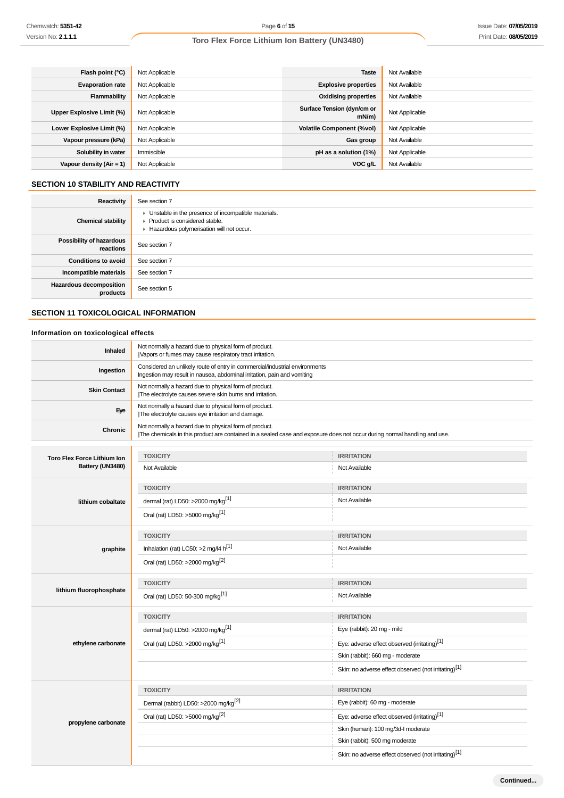| Flash point (°C)           | Not Applicable | <b>Taste</b>                           | Not Available  |
|----------------------------|----------------|----------------------------------------|----------------|
| <b>Evaporation rate</b>    | Not Applicable | <b>Explosive properties</b>            | Not Available  |
| Flammability               | Not Applicable | <b>Oxidising properties</b>            | Not Available  |
| Upper Explosive Limit (%)  | Not Applicable | Surface Tension (dyn/cm or<br>$mN/m$ ) | Not Applicable |
| Lower Explosive Limit (%)  | Not Applicable | <b>Volatile Component (%vol)</b>       | Not Applicable |
| Vapour pressure (kPa)      | Not Applicable | Gas group                              | Not Available  |
| Solubility in water        | Immiscible     | pH as a solution (1%)                  | Not Applicable |
| Vapour density $(Air = 1)$ | Not Applicable | VOC g/L                                | Not Available  |

## **SECTION 10 STABILITY AND REACTIVITY**

| Reactivity                                 | See section 7                                                                                                                        |
|--------------------------------------------|--------------------------------------------------------------------------------------------------------------------------------------|
| <b>Chemical stability</b>                  | • Unstable in the presence of incompatible materials.<br>▶ Product is considered stable.<br>Hazardous polymerisation will not occur. |
| Possibility of hazardous<br>reactions      | See section 7                                                                                                                        |
| <b>Conditions to avoid</b>                 | See section 7                                                                                                                        |
| Incompatible materials                     | See section 7                                                                                                                        |
| <b>Hazardous decomposition</b><br>products | See section 5                                                                                                                        |

## **SECTION 11 TOXICOLOGICAL INFORMATION**

## **Information on toxicological effects**

| Inhaled                            | Not normally a hazard due to physical form of product.<br>Vapors or fumes may cause respiratory tract irritation.                                                                  |                                                                  |  |
|------------------------------------|------------------------------------------------------------------------------------------------------------------------------------------------------------------------------------|------------------------------------------------------------------|--|
| Ingestion                          | Considered an unlikely route of entry in commercial/industrial environments<br>Ingestion may result in nausea, abdominal irritation, pain and vomiting                             |                                                                  |  |
| <b>Skin Contact</b>                | Not normally a hazard due to physical form of product.<br>The electrolyte causes severe skin burns and irritation.                                                                 |                                                                  |  |
| Eye                                | Not normally a hazard due to physical form of product.<br>The electrolyte causes eye irritation and damage.                                                                        |                                                                  |  |
| Chronic                            | Not normally a hazard due to physical form of product.<br>The chemicals in this product are contained in a sealed case and exposure does not occur during normal handling and use. |                                                                  |  |
|                                    |                                                                                                                                                                                    |                                                                  |  |
| <b>Toro Flex Force Lithium Ion</b> | <b>TOXICITY</b>                                                                                                                                                                    | <b>IRRITATION</b>                                                |  |
| Battery (UN3480)                   | Not Available                                                                                                                                                                      | Not Available                                                    |  |
|                                    | <b>TOXICITY</b>                                                                                                                                                                    | <b>IRRITATION</b>                                                |  |
| lithium cobaltate                  | dermal (rat) LD50: >2000 mg/kg <sup>[1]</sup>                                                                                                                                      | Not Available                                                    |  |
|                                    | Oral (rat) LD50: >5000 mg/kg <sup>[1]</sup>                                                                                                                                        |                                                                  |  |
|                                    | <b>TOXICITY</b>                                                                                                                                                                    | <b>IRRITATION</b>                                                |  |
| graphite                           | Inhalation (rat) LC50: >2 mg/l4 h <sup>[1]</sup>                                                                                                                                   | Not Available                                                    |  |
|                                    | Oral (rat) LD50: >2000 mg/kg <sup>[2]</sup>                                                                                                                                        |                                                                  |  |
|                                    | <b>TOXICITY</b>                                                                                                                                                                    | <b>IRRITATION</b>                                                |  |
| lithium fluorophosphate            | Oral (rat) LD50: 50-300 mg/kg <sup>[1]</sup>                                                                                                                                       | Not Available                                                    |  |
|                                    | <b>TOXICITY</b>                                                                                                                                                                    | <b>IRRITATION</b>                                                |  |
|                                    | dermal (rat) LD50: $>2000$ mg/kg <sup>[1]</sup>                                                                                                                                    | Eye (rabbit): 20 mg - mild                                       |  |
| ethylene carbonate                 | Oral (rat) LD50: >2000 mg/kg <sup>[1]</sup>                                                                                                                                        | Eye: adverse effect observed (irritating) <sup>[1]</sup>         |  |
|                                    |                                                                                                                                                                                    | Skin (rabbit): 660 mg - moderate                                 |  |
|                                    |                                                                                                                                                                                    | Skin: no adverse effect observed (not irritating) <sup>[1]</sup> |  |
|                                    | <b>TOXICITY</b>                                                                                                                                                                    | <b>IRRITATION</b>                                                |  |
|                                    | Dermal (rabbit) LD50: >2000 mg/kg <sup>[2]</sup>                                                                                                                                   | Eye (rabbit): 60 mg - moderate                                   |  |
| propylene carbonate                | Oral (rat) LD50: >5000 mg/kg <sup>[2]</sup>                                                                                                                                        | Eye: adverse effect observed (irritating) <sup>[1]</sup>         |  |
|                                    |                                                                                                                                                                                    | Skin (human): 100 mg/3d-l moderate                               |  |
|                                    |                                                                                                                                                                                    | Skin (rabbit): 500 mg moderate                                   |  |
|                                    |                                                                                                                                                                                    | Skin: no adverse effect observed (not irritating)[1]             |  |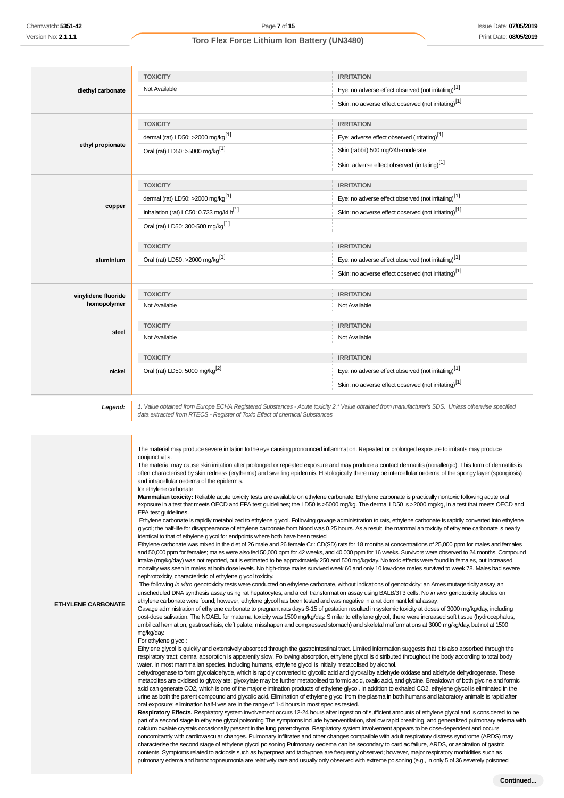| diethyl carbonate   | <b>TOXICITY</b>                               | <b>IRRITATION</b>                                                                                                                                |
|---------------------|-----------------------------------------------|--------------------------------------------------------------------------------------------------------------------------------------------------|
|                     | Not Available                                 | Eye: no adverse effect observed (not irritating)[1]                                                                                              |
|                     |                                               | Skin: no adverse effect observed (not irritating) <sup>[1]</sup>                                                                                 |
|                     | <b>TOXICITY</b>                               | <b>IRRITATION</b>                                                                                                                                |
|                     | dermal (rat) LD50: >2000 mg/kg <sup>[1]</sup> | Eye: adverse effect observed (irritating) <sup>[1]</sup>                                                                                         |
| ethyl propionate    | Oral (rat) LD50: >5000 mg/kg <sup>[1]</sup>   | Skin (rabbit):500 mg/24h-moderate                                                                                                                |
|                     |                                               | Skin: adverse effect observed (irritating)[1]                                                                                                    |
|                     | <b>TOXICITY</b>                               | <b>IRRITATION</b>                                                                                                                                |
|                     | dermal (rat) LD50: >2000 mg/kg <sup>[1]</sup> | Eye: no adverse effect observed (not irritating) <sup>[1]</sup>                                                                                  |
| copper              | Inhalation (rat) LC50: 0.733 mg/l4 $h^{[1]}$  | Skin: no adverse effect observed (not irritating) <sup>[1]</sup>                                                                                 |
|                     | Oral (rat) LD50: 300-500 mg/kg <sup>[1]</sup> |                                                                                                                                                  |
|                     | <b>TOXICITY</b>                               | <b>IRRITATION</b>                                                                                                                                |
| aluminium           | Oral (rat) LD50: >2000 mg/kg <sup>[1]</sup>   | Eye: no adverse effect observed (not irritating) <sup>[1]</sup>                                                                                  |
|                     |                                               | Skin: no adverse effect observed (not irritating) <sup>[1]</sup>                                                                                 |
| vinylidene fluoride | <b>TOXICITY</b>                               | <b>IRRITATION</b>                                                                                                                                |
| homopolymer         | Not Available                                 | Not Available                                                                                                                                    |
|                     | <b>TOXICITY</b>                               | <b>IRRITATION</b>                                                                                                                                |
| steel               | Not Available                                 | Not Available                                                                                                                                    |
|                     | <b>TOXICITY</b>                               | <b>IRRITATION</b>                                                                                                                                |
| nickel              | Oral (rat) LD50: 5000 mg/kg <sup>[2]</sup>    | Eye: no adverse effect observed (not irritating) <sup>[1]</sup>                                                                                  |
|                     |                                               | Skin: no adverse effect observed (not irritating) <sup>[1]</sup>                                                                                 |
| Legend:             |                                               | 1. Value obtained from Europe ECHA Registered Substances - Acute toxicity 2.* Value obtained from manufacturer's SDS. Unless otherwise specified |

data extracted from RTECS - Register of Toxic Effect of chemical Substances Ш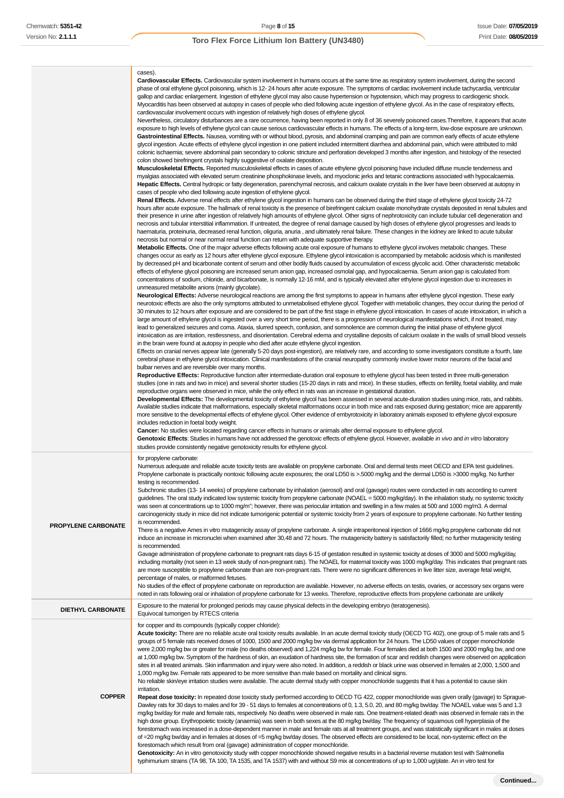|                            | cases).<br>Cardiovascular Effects. Cardiovascular system involvement in humans occurs at the same time as respiratory system involvement, during the second<br>phase of oral ethylene glycol poisoning, which is 12-24 hours after acute exposure. The symptoms of cardiac involvement include tachycardia, ventricular<br>gallop and cardiac enlargement. Ingestion of ethylene glycol may also cause hypertension or hypotension, which may progress to cardiogenic shock.<br>Myocarditis has been observed at autopsy in cases of people who died following acute ingestion of ethylene glycol. As in the case of respiratory effects,<br>cardiovascular involvement occurs with ingestion of relatively high doses of ethylene glycol.<br>Nevertheless, circulatory disturbances are a rare occurrence, having been reported in only 8 of 36 severely poisoned cases. Therefore, it appears that acute<br>exposure to high levels of ethylene glycol can cause serious cardiovascular effects in humans. The effects of a long-term, low-dose exposure are unknown.<br>Gastrointestinal Effects. Nausea, vomiting with or without blood, pyrosis, and abdominal cramping and pain are common early effects of acute ethylene<br>glycol ingestion. Acute effects of ethylene glycol ingestion in one patient included intermittent diarrhea and abdominal pain, which were attributed to mild<br>colonic ischaemia; severe abdominal pain secondary to colonic stricture and perforation developed 3 months after ingestion, and histology of the resected<br>colon showed birefringent crystals highly suggestive of oxalate deposition.<br>Musculoskeletal Effects. Reported musculoskeletal effects in cases of acute ethylene glycol poisoning have included diffuse muscle tenderness and<br>myalgias associated with elevated serum creatinine phosphokinase levels, and myoclonic jerks and tetanic contractions associated with hypocalcaemia.<br>Hepatic Effects. Central hydropic or fatty degeneration, parenchymal necrosis, and calcium oxalate crystals in the liver have been observed at autopsy in<br>cases of people who died following acute ingestion of ethylene glycol.<br>Renal Effects. Adverse renal effects after ethylene glycol ingestion in humans can be observed during the third stage of ethylene glycol toxicity 24-72<br>hours after acute exposure. The hallmark of renal toxicity is the presence of birefringent calcium oxalate monohydrate crystals deposited in renal tubules and<br>their presence in urine after ingestion of relatively high amounts of ethylene glycol. Other signs of nephrotoxicity can include tubular cell degeneration and<br>necrosis and tubular interstitial inflammation. If untreated, the degree of renal damage caused by high doses of ethylene glycol progresses and leads to<br>haematuria, proteinuria, decreased renal function, oliguria, anuria, and ultimately renal failure. These changes in the kidney are linked to acute tubular<br>necrosis but normal or near normal renal function can return with adequate supportive therapy.<br>Metabolic Effects. One of the major adverse effects following acute oral exposure of humans to ethylene glycol involves metabolic changes. These<br>changes occur as early as 12 hours after ethylene glycol exposure. Ethylene glycol intoxication is accompanied by metabolic acidosis which is manifested<br>by decreased pH and bicarbonate content of serum and other bodily fluids caused by accumulation of excess glycolic acid. Other characteristic metabolic<br>effects of ethylene glycol poisoning are increased serum anion gap, increased osmolal gap, and hypocalcaemia. Serum anion gap is calculated from<br>concentrations of sodium, chloride, and bicarbonate, is normally 12-16 mM, and is typically elevated after ethylene glycol ingestion due to increases in<br>unmeasured metabolite anions (mainly glycolate).<br>Neurological Effects: Adverse neurological reactions are among the first symptoms to appear in humans after ethylene glycol ingestion. These early<br>neurotoxic effects are also the only symptoms attributed to unmetabolised ethylene glycol. Together with metabolic changes, they occur during the period of<br>30 minutes to 12 hours after exposure and are considered to be part of the first stage in ethylene glycol intoxication. In cases of acute intoxication, in which a<br>large amount of ethylene glycol is ingested over a very short time period, there is a progression of neurological manifestations which, if not treated, may<br>lead to generalized seizures and coma. Ataxia, slurred speech, confusion, and somnolence are common during the initial phase of ethylene glycol<br>intoxication as are irritation, restlessness, and disorientation. Cerebral edema and crystalline deposits of calcium oxalate in the walls of small blood vessels<br>in the brain were found at autopsy in people who died after acute ethylene glycol ingestion.<br>Effects on cranial nerves appear late (generally 5-20 days post-ingestion), are relatively rare, and according to some investigators constitute a fourth, late<br>cerebral phase in ethylene glycol intoxication. Clinical manifestations of the cranial neuropathy commonly involve lower motor neurons of the facial and<br>bulbar nerves and are reversible over many months.<br>Reproductive Effects: Reproductive function after intermediate-duration oral exposure to ethylene glycol has been tested in three multi-generation<br>studies (one in rats and two in mice) and several shorter studies (15-20 days in rats and mice). In these studies, effects on fertility, foetal viability, and male<br>reproductive organs were observed in mice, while the only effect in rats was an increase in gestational duration.<br>Developmental Effects: The developmental toxicity of ethylene glycol has been assessed in several acute-duration studies using mice, rats, and rabbits.<br>Available studies indicate that malformations, especially skeletal malformations occur in both mice and rats exposed during gestation; mice are apparently<br>more sensitive to the developmental effects of ethylene glycol. Other evidence of embyrotoxicity in laboratory animals exposed to ethylene glycol exposure<br>includes reduction in foetal body weight.<br><b>Cancer:</b> No studies were located regarding cancer effects in humans or animals after dermal exposure to ethylene glycol.<br>Genotoxic Effects: Studies in humans have not addressed the genotoxic effects of ethylene glycol. However, available in vivo and in vitro laboratory<br>studies provide consistently negative genotoxicity results for ethylene glycol. |
|----------------------------|--------------------------------------------------------------------------------------------------------------------------------------------------------------------------------------------------------------------------------------------------------------------------------------------------------------------------------------------------------------------------------------------------------------------------------------------------------------------------------------------------------------------------------------------------------------------------------------------------------------------------------------------------------------------------------------------------------------------------------------------------------------------------------------------------------------------------------------------------------------------------------------------------------------------------------------------------------------------------------------------------------------------------------------------------------------------------------------------------------------------------------------------------------------------------------------------------------------------------------------------------------------------------------------------------------------------------------------------------------------------------------------------------------------------------------------------------------------------------------------------------------------------------------------------------------------------------------------------------------------------------------------------------------------------------------------------------------------------------------------------------------------------------------------------------------------------------------------------------------------------------------------------------------------------------------------------------------------------------------------------------------------------------------------------------------------------------------------------------------------------------------------------------------------------------------------------------------------------------------------------------------------------------------------------------------------------------------------------------------------------------------------------------------------------------------------------------------------------------------------------------------------------------------------------------------------------------------------------------------------------------------------------------------------------------------------------------------------------------------------------------------------------------------------------------------------------------------------------------------------------------------------------------------------------------------------------------------------------------------------------------------------------------------------------------------------------------------------------------------------------------------------------------------------------------------------------------------------------------------------------------------------------------------------------------------------------------------------------------------------------------------------------------------------------------------------------------------------------------------------------------------------------------------------------------------------------------------------------------------------------------------------------------------------------------------------------------------------------------------------------------------------------------------------------------------------------------------------------------------------------------------------------------------------------------------------------------------------------------------------------------------------------------------------------------------------------------------------------------------------------------------------------------------------------------------------------------------------------------------------------------------------------------------------------------------------------------------------------------------------------------------------------------------------------------------------------------------------------------------------------------------------------------------------------------------------------------------------------------------------------------------------------------------------------------------------------------------------------------------------------------------------------------------------------------------------------------------------------------------------------------------------------------------------------------------------------------------------------------------------------------------------------------------------------------------------------------------------------------------------------------------------------------------------------------------------------------------------------------------------------------------------------------------------------------------------------------------------------------------------------------------------------------------------------------------------------------------------------------------------------------------------------------------------------------------------------------------------------------------------------------------------------------------------------------------------------------------------------------------------------------------------------------------------------------------------------------------------------------------------------------------------------------------------------------------------------------------------------------------------------------------------------------------------------------------------------------------------------------------------------------------------------------------------------------------------------------------------------------------------------------------------------------------------------------------------------------------------------------------------------------------------------------------------------------------------------------------------------------------------------------------------------------------------------------------------------------------------------------------------------------------------------------------------------------------------------------------------------------------------------------------------------------------------------------------------------|
| <b>PROPYLENE CARBONATE</b> | for propylene carbonate:<br>Numerous adequate and reliable acute toxicity tests are available on propylene carbonate. Oral and dermal tests meet OECD and EPA test guidelines.<br>Propylene carbonate is practically nontoxic following acute exposures; the oral LD50 is >.5000 mg/kg and the dermal LD50 is >3000 mg/kg. No further<br>testing is recommended.<br>Subchronic studies (13- 14 weeks) of propylene carbonate by inhalation (aerosol) and oral (gavage) routes were conducted in rats according to current<br>guidelines. The oral study indicated low systemic toxicity from propylene carbonate (NOAEL = 5000 mg/kg/day). In the inhalation study, no systemic toxicity<br>was seen at concentrations up to 1000 mg/m"; however, there was periocular irritation and swelling in a few males at 500 and 1000 mg/m3. A dermal<br>carcinogenicity study in mice did not indicate tumorigenic potential or systemic toxicity from 2 years of exposure to propylene carbonate. No further testing<br>is recommended.<br>There is a negative Ames in vitro mutagenicity assay of propylene carbonate. A single intraperitoneal injection of 1666 mg/kg propylene carbonate did not<br>induce an increase in micronuclei when examined after 30,48 and 72 hours. The mutagenicity battery is satisfactorily filled; no further mutagenicity testing<br>is recommended.<br>Gavage administration of propylene carbonate to pregnant rats days 6-15 of gestation resulted in systemic toxicity at doses of 3000 and 5000 mg/kg/day,<br>including mortality (not seen in 13 week study of non-pregnant rats). The NOAEL for maternal toxicity was 1000 mg/kg/day. This indicates that pregnant rats<br>are more susceptible to propylene carbonate than are non-pregnant rats. There were no significant differences in live litter size, average fetal weight,<br>percentage of males, or malformed fetuses.<br>No studies of the effect of propylene carbonate on reproduction are available. However, no adverse effects on testis, ovaries, or accessory sex organs were<br>noted in rats following oral or inhalation of propylene carbonate for 13 weeks. Therefore, reproductive effects from propylene carbonate are unlikely                                                                                                                                                                                                                                                                                                                                                                                                                                                                                                                                                                                                                                                                                                                                                                                                                                                                                                                                                                                                                                                                                                                                                                                                                                                                                                                                                                                                                                                                                                                                                                                                                                                                                                                                                                                                                                                                                                                                                                                                                                                                                                                                                                                                                                                                                                                                                                                                                                                                                                                                                                                                                                                                                                                                                                                                                                                                                                                                                                                                                                                                                                                                                                                                                                                                                                                                                                                                                                                                                                                                                                                                                                                                                                                                                                                                                                                                                                                                                                                                                                                                                                                                                                                                                                                                                                                                                                                                                                                                                                                                                                      |
| <b>DIETHYL CARBONATE</b>   | Exposure to the material for prolonged periods may cause physical defects in the developing embryo (teratogenesis).<br>Equivocal tumorigen by RTECS criteria                                                                                                                                                                                                                                                                                                                                                                                                                                                                                                                                                                                                                                                                                                                                                                                                                                                                                                                                                                                                                                                                                                                                                                                                                                                                                                                                                                                                                                                                                                                                                                                                                                                                                                                                                                                                                                                                                                                                                                                                                                                                                                                                                                                                                                                                                                                                                                                                                                                                                                                                                                                                                                                                                                                                                                                                                                                                                                                                                                                                                                                                                                                                                                                                                                                                                                                                                                                                                                                                                                                                                                                                                                                                                                                                                                                                                                                                                                                                                                                                                                                                                                                                                                                                                                                                                                                                                                                                                                                                                                                                                                                                                                                                                                                                                                                                                                                                                                                                                                                                                                                                                                                                                                                                                                                                                                                                                                                                                                                                                                                                                                                                                                                                                                                                                                                                                                                                                                                                                                                                                                                                                                                                                                                                                                                                                                                                                                                                                                                                                                                                                                                                                                                       |
| <b>COPPER</b>              | for copper and its compounds (typically copper chloride):<br>Acute toxicity: There are no reliable acute oral toxicity results available. In an acute dermal toxicity study (OECD TG 402), one group of 5 male rats and 5<br>groups of 5 female rats received doses of 1000, 1500 and 2000 mg/kg bw via dermal application for 24 hours. The LD50 values of copper monochloride<br>were 2,000 mg/kg bw or greater for male (no deaths observed) and 1,224 mg/kg bw for female. Four females died at both 1500 and 2000 mg/kg bw, and one<br>at 1,000 mg/kg bw. Symptom of the hardness of skin, an exudation of hardness site, the formation of scar and reddish changes were observed on application<br>sites in all treated animals. Skin inflammation and injury were also noted. In addition, a reddish or black urine was observed in females at 2,000, 1,500 and<br>1,000 mg/kg bw. Female rats appeared to be more sensitive than male based on mortality and clinical signs.<br>No reliable skin/eye irritation studies were available. The acute dermal study with copper monochloride suggests that it has a potential to cause skin<br>irritation.<br>Repeat dose toxicity: In repeated dose toxicity study performed according to OECD TG 422, copper monochloride was given orally (gavage) to Sprague-<br>Dawley rats for 30 days to males and for 39 - 51 days to females at concentrations of 0, 1.3, 5.0, 20, and 80 mg/kg bw/day. The NOAEL value was 5 and 1.3<br>mg/kg bw/day for male and female rats, respectively. No deaths were observed in male rats. One treatment-related death was observed in female rats in the<br>high dose group. Erythropoietic toxicity (anaemia) was seen in both sexes at the 80 mg/kg bw/day. The frequency of squamous cell hyperplasia of the<br>forestomach was increased in a dose-dependent manner in male and female rats at all treatment groups, and was statistically significant in males at doses<br>of =20 mg/kg bw/day and in females at doses of =5 mg/kg bw/day doses. The observed effects are considered to be local, non-systemic effect on the<br>forestomach which result from oral (gavage) administration of copper monochloride.<br>Genotoxicity: An in vitro genotoxicity study with copper monochloride showed negative results in a bacterial reverse mutation test with Salmonella<br>typhimurium strains (TA 98, TA 100, TA 1535, and TA 1537) with and without S9 mix at concentrations of up to 1,000 ug/plate. An in vitro test for                                                                                                                                                                                                                                                                                                                                                                                                                                                                                                                                                                                                                                                                                                                                                                                                                                                                                                                                                                                                                                                                                                                                                                                                                                                                                                                                                                                                                                                                                                                                                                                                                                                                                                                                                                                                                                                                                                                                                                                                                                                                                                                                                                                                                                                                                                                                                                                                                                                                                                                                                                                                                                                                                                                                                                                                                                                                                                                                                                                                                                                                                                                                                                                                                                                                                                                                                                                                                                                                                                                                                                                                                                                                                                                                                                                                                                                                                                                                                                                                                                                                                                                                                                                                                                                                                           |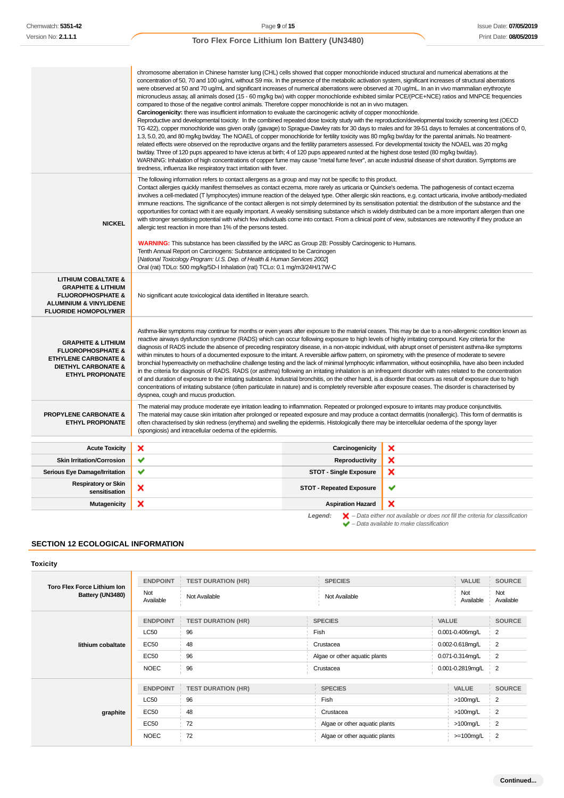|                                                                                                                                                                     | chromosome aberration in Chinese hamster lung (CHL) cells showed that copper monochloride induced structural and numerical aberrations at the<br>concentration of 50, 70 and 100 ug/mL without S9 mix. In the presence of the metabolic activation system, significant increases of structural aberrations<br>were observed at 50 and 70 ug/mL and significant increases of numerical aberrations were observed at 70 ug/mL. In an in vivo mammalian erythrocyte<br>micronucleus assay, all animals dosed (15 - 60 mg/kg bw) with copper monochloride exhibited similar PCE/(PCE+NCE) ratios and MNPCE frequencies<br>compared to those of the negative control animals. Therefore copper monochloride is not an in vivo mutagen.<br>Carcinogenicity: there was insufficient information to evaluate the carcinogenic activity of copper monochloride.<br>Reproductive and developmental toxicity: In the combined repeated dose toxicity study with the reproduction/developmental toxicity screening test (OECD<br>1.3, 5.0, 20, and 80 mg/kg bw/day. The NOAEL of copper monochloride for fertility toxicity was 80 mg/kg bw/day for the parental animals. No treatment-<br>related effects were observed on the reproductive organs and the fertility parameters assessed. For developmental toxicity the NOAEL was 20 mg/kg<br>bw/day. Three of 120 pups appeared to have icterus at birth; 4 of 120 pups appeared runted at the highest dose tested (80 mg/kg bw/day).<br>WARNING: Inhalation of high concentrations of copper fume may cause "metal fume fever", an acute industrial disease of short duration. Symptoms are<br>tiredness, influenza like respiratory tract irritation with fever. |                                 | TG 422), copper monochloride was given orally (gavage) to Sprague-Dawley rats for 30 days to males and for 39-51 days to females at concentrations of 0,                                                                                                                                                                        |
|---------------------------------------------------------------------------------------------------------------------------------------------------------------------|-----------------------------------------------------------------------------------------------------------------------------------------------------------------------------------------------------------------------------------------------------------------------------------------------------------------------------------------------------------------------------------------------------------------------------------------------------------------------------------------------------------------------------------------------------------------------------------------------------------------------------------------------------------------------------------------------------------------------------------------------------------------------------------------------------------------------------------------------------------------------------------------------------------------------------------------------------------------------------------------------------------------------------------------------------------------------------------------------------------------------------------------------------------------------------------------------------------------------------------------------------------------------------------------------------------------------------------------------------------------------------------------------------------------------------------------------------------------------------------------------------------------------------------------------------------------------------------------------------------------------------------------------------------------------------------------------------------|---------------------------------|---------------------------------------------------------------------------------------------------------------------------------------------------------------------------------------------------------------------------------------------------------------------------------------------------------------------------------|
| <b>NICKEL</b>                                                                                                                                                       | The following information refers to contact allergens as a group and may not be specific to this product.<br>Contact allergies quickly manifest themselves as contact eczema, more rarely as urticaria or Quincke's oedema. The pathogenesis of contact eczema<br>immune reactions. The significance of the contact allergen is not simply determined by its sensitisation potential: the distribution of the substance and the<br>with stronger sensitising potential with which few individuals come into contact. From a clinical point of view, substances are noteworthy if they produce an<br>allergic test reaction in more than 1% of the persons tested.<br><b>WARNING:</b> This substance has been classified by the IARC as Group 2B: Possibly Carcinogenic to Humans.                                                                                                                                                                                                                                                                                                                                                                                                                                                                                                                                                                                                                                                                                                                                                                                                                                                                                                                         |                                 | involves a cell-mediated (T lymphocytes) immune reaction of the delayed type. Other allergic skin reactions, e.g. contact urticaria, involve antibody-mediated<br>opportunities for contact with it are equally important. A weakly sensitising substance which is widely distributed can be a more important allergen than one |
|                                                                                                                                                                     | Tenth Annual Report on Carcinogens: Substance anticipated to be Carcinogen<br>[National Toxicology Program: U.S. Dep. of Health & Human Services 2002]<br>Oral (rat) TDLo: 500 mg/kg/5D-I Inhalation (rat) TCLo: 0.1 mg/m3/24H/17W-C                                                                                                                                                                                                                                                                                                                                                                                                                                                                                                                                                                                                                                                                                                                                                                                                                                                                                                                                                                                                                                                                                                                                                                                                                                                                                                                                                                                                                                                                      |                                 |                                                                                                                                                                                                                                                                                                                                 |
| <b>LITHIUM COBALTATE &amp;</b><br><b>GRAPHITE &amp; LITHIUM</b><br><b>FLUOROPHOSPHATE &amp;</b><br><b>ALUMINIUM &amp; VINYLIDENE</b><br><b>FLUORIDE HOMOPOLYMER</b> | No significant acute toxicological data identified in literature search.                                                                                                                                                                                                                                                                                                                                                                                                                                                                                                                                                                                                                                                                                                                                                                                                                                                                                                                                                                                                                                                                                                                                                                                                                                                                                                                                                                                                                                                                                                                                                                                                                                  |                                 |                                                                                                                                                                                                                                                                                                                                 |
| <b>GRAPHITE &amp; LITHIUM</b><br><b>FLUOROPHOSPHATE &amp;</b><br><b>ETHYLENE CARBONATE &amp;</b><br><b>DIETHYL CARBONATE &amp;</b><br><b>ETHYL PROPIONATE</b>       | reactive airways dysfunction syndrome (RADS) which can occur following exposure to high levels of highly irritating compound. Key criteria for the<br>diagnosis of RADS include the absence of preceding respiratory disease, in a non-atopic individual, with abrupt onset of persistent asthma-like symptoms<br>within minutes to hours of a documented exposure to the irritant. A reversible airflow pattern, on spirometry, with the presence of moderate to severe<br>bronchial hyperreactivity on methacholine challenge testing and the lack of minimal lymphocytic inflammation, without eosinophilia, have also been included<br>in the criteria for diagnosis of RADS. RADS (or asthma) following an irritating inhalation is an infrequent disorder with rates related to the concentration<br>of and duration of exposure to the irritating substance. Industrial bronchitis, on the other hand, is a disorder that occurs as result of exposure due to high<br>concentrations of irritating substance (often particulate in nature) and is completely reversible after exposure ceases. The disorder is characterised by<br>dyspnea, cough and mucus production.                                                                                                                                                                                                                                                                                                                                                                                                                                                                                                                            |                                 | Asthma-like symptoms may continue for months or even years after exposure to the material ceases. This may be due to a non-allergenic condition known as                                                                                                                                                                        |
| <b>PROPYLENE CARBONATE &amp;</b><br><b>ETHYL PROPIONATE</b>                                                                                                         | The material may produce moderate eye irritation leading to inflammation. Repeated or prolonged exposure to irritants may produce conjunctivitis.<br>The material may cause skin irritation after prolonged or repeated exposure and may produce a contact dermatitis (nonallergic). This form of dermatitis is<br>often characterised by skin redness (erythema) and swelling the epidermis. Histologically there may be intercellular oedema of the spongy layer<br>(spongiosis) and intracellular oedema of the epidermis.                                                                                                                                                                                                                                                                                                                                                                                                                                                                                                                                                                                                                                                                                                                                                                                                                                                                                                                                                                                                                                                                                                                                                                             |                                 |                                                                                                                                                                                                                                                                                                                                 |
| <b>Acute Toxicity</b>                                                                                                                                               | ×                                                                                                                                                                                                                                                                                                                                                                                                                                                                                                                                                                                                                                                                                                                                                                                                                                                                                                                                                                                                                                                                                                                                                                                                                                                                                                                                                                                                                                                                                                                                                                                                                                                                                                         | Carcinogenicity                 | ×                                                                                                                                                                                                                                                                                                                               |
| <b>Skin Irritation/Corrosion</b>                                                                                                                                    | ✔                                                                                                                                                                                                                                                                                                                                                                                                                                                                                                                                                                                                                                                                                                                                                                                                                                                                                                                                                                                                                                                                                                                                                                                                                                                                                                                                                                                                                                                                                                                                                                                                                                                                                                         | Reproductivity                  | ×                                                                                                                                                                                                                                                                                                                               |
| <b>Serious Eye Damage/Irritation</b>                                                                                                                                | ✔                                                                                                                                                                                                                                                                                                                                                                                                                                                                                                                                                                                                                                                                                                                                                                                                                                                                                                                                                                                                                                                                                                                                                                                                                                                                                                                                                                                                                                                                                                                                                                                                                                                                                                         | <b>STOT - Single Exposure</b>   | ×                                                                                                                                                                                                                                                                                                                               |
| <b>Respiratory or Skin</b><br>sensitisation                                                                                                                         | ×                                                                                                                                                                                                                                                                                                                                                                                                                                                                                                                                                                                                                                                                                                                                                                                                                                                                                                                                                                                                                                                                                                                                                                                                                                                                                                                                                                                                                                                                                                                                                                                                                                                                                                         | <b>STOT - Repeated Exposure</b> | ✔                                                                                                                                                                                                                                                                                                                               |
| <b>Mutagenicity</b>                                                                                                                                                 | ×                                                                                                                                                                                                                                                                                                                                                                                                                                                                                                                                                                                                                                                                                                                                                                                                                                                                                                                                                                                                                                                                                                                                                                                                                                                                                                                                                                                                                                                                                                                                                                                                                                                                                                         | <b>Aspiration Hazard</b>        | ×                                                                                                                                                                                                                                                                                                                               |

**Legend:** – Data either not available or does not fill the criteria for classification – Data available to make classification

## **SECTION 12 ECOLOGICAL INFORMATION**

## **Toxicity**

| <b>Toro Flex Force Lithium Ion</b><br>Battery (UN3480) | <b>ENDPOINT</b><br>Not<br>Available | <b>TEST DURATION (HR)</b><br>Not Available | <b>SPECIES</b><br>Not Available | VALUE<br>Not<br>Available | <b>SOURCE</b><br>Not<br>Available |
|--------------------------------------------------------|-------------------------------------|--------------------------------------------|---------------------------------|---------------------------|-----------------------------------|
|                                                        | <b>ENDPOINT</b>                     | <b>TEST DURATION (HR)</b>                  | <b>SPECIES</b>                  | <b>VALUE</b>              | <b>SOURCE</b>                     |
|                                                        | <b>LC50</b>                         | 96                                         | Fish                            | 0.001-0.406mg/L           | $\overline{2}$                    |
| lithium cobaltate                                      | EC50                                | 48                                         | Crustacea                       | 0.002-0.618mg/L           | $\overline{2}$                    |
|                                                        | <b>EC50</b>                         | 96                                         | Algae or other aquatic plants   | 0.071-0.314mg/L           | $\overline{2}$                    |
|                                                        | <b>NOEC</b>                         | 96                                         | Crustacea                       | 0.001-0.2819mg/L          | $\overline{2}$                    |
|                                                        | <b>ENDPOINT</b>                     | <b>TEST DURATION (HR)</b>                  | <b>SPECIES</b>                  | VALUE                     | <b>SOURCE</b>                     |
| graphite                                               | <b>LC50</b>                         | 96                                         | Fish                            | $>100$ mg/L               | $\overline{2}$                    |
|                                                        | <b>EC50</b>                         | 48                                         | Crustacea                       | $>100$ mg/L               | $\overline{2}$                    |
|                                                        | <b>EC50</b>                         | 72                                         | Algae or other aquatic plants   | $>100$ mg/L               | $\overline{2}$                    |
|                                                        | <b>NOEC</b>                         | 72                                         | Algae or other aquatic plants   | $>=100$ mg/L              | $\overline{2}$                    |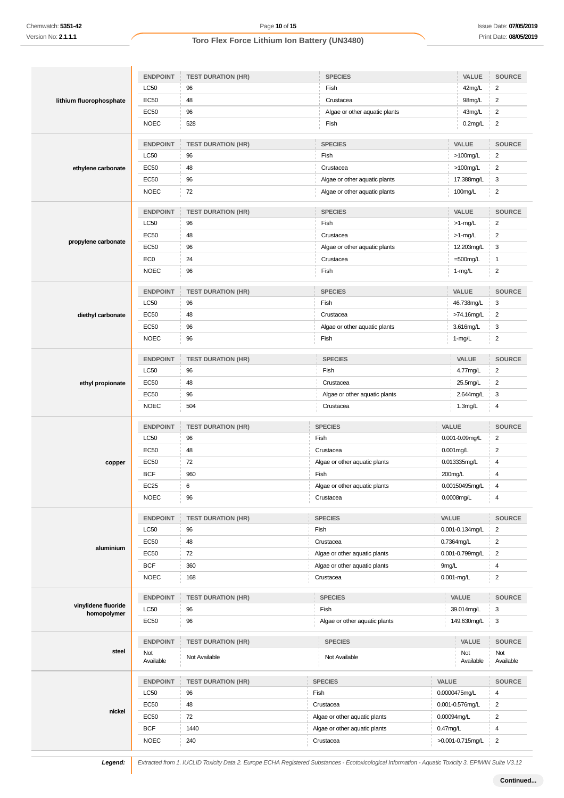|                                    | <b>ENDPOINT</b>  | <b>TEST DURATION (HR)</b> | <b>SPECIES</b>                | VALUE            | <b>SOURCE</b>           |
|------------------------------------|------------------|---------------------------|-------------------------------|------------------|-------------------------|
|                                    | <b>LC50</b>      | 96                        | Fish                          | 42mg/L           | $\overline{2}$          |
| lithium fluorophosphate            | <b>EC50</b>      | 48                        | Crustacea                     | 98mg/L           | $\sqrt{2}$              |
|                                    | <b>EC50</b>      | 96                        | Algae or other aquatic plants | 43mg/L           | $\overline{2}$          |
|                                    | <b>NOEC</b>      | 528                       | Fish                          | $0.2$ mg/L       | $\overline{c}$          |
|                                    | <b>ENDPOINT</b>  | <b>TEST DURATION (HR)</b> | <b>SPECIES</b>                | VALUE            | <b>SOURCE</b>           |
|                                    | LC50             | 96                        | Fish                          | $>100$ mg/L      | $\overline{2}$          |
| ethylene carbonate                 | <b>EC50</b>      | 48                        | Crustacea                     | $>100$ mg/L      | $\sqrt{2}$              |
|                                    | EC50             | 96                        | Algae or other aquatic plants | 17.388mg/L       | 3                       |
|                                    | <b>NOEC</b>      | 72                        | Algae or other aquatic plants | 100mg/L          | $\overline{2}$          |
|                                    | <b>ENDPOINT</b>  | <b>TEST DURATION (HR)</b> | <b>SPECIES</b>                | VALUE            | <b>SOURCE</b>           |
|                                    | LC50             | 96                        | Fish                          | $>1$ -mg/L       | $\sqrt{2}$              |
|                                    | EC50             | 48                        | Crustacea                     | $>1$ -mg/L       | $\overline{2}$          |
| propylene carbonate                | <b>EC50</b>      | 96                        | Algae or other aquatic plants | 12.203mg/L       | 3                       |
|                                    | EC <sub>0</sub>  | 24                        | Crustacea                     | $=500$ mg/L      | $\mathbf{1}$            |
|                                    | <b>NOEC</b>      | 96                        | Fish                          | $1-mg/L$         | $\boldsymbol{2}$        |
|                                    | <b>ENDPOINT</b>  | <b>TEST DURATION (HR)</b> | <b>SPECIES</b>                | VALUE            | <b>SOURCE</b>           |
|                                    | LC50             | 96                        | Fish                          | 46.738mg/L       | 3                       |
| diethyl carbonate                  | EC50             | 48                        | Crustacea                     | >74.16mg/L       | $\overline{2}$          |
|                                    | EC50             | 96                        | Algae or other aquatic plants | 3.616mg/L        | 3                       |
|                                    | <b>NOEC</b>      | 96                        | Fish                          | $1-mg/L$         | $\overline{2}$          |
|                                    | <b>ENDPOINT</b>  | <b>TEST DURATION (HR)</b> | <b>SPECIES</b>                | VALUE            | SOURCE                  |
|                                    | LC50             | 96                        | Fish                          | 4.77mg/L         | $\sqrt{2}$              |
| ethyl propionate                   | EC50             | 48                        | Crustacea                     | 25.5mg/L         | $\boldsymbol{2}$        |
|                                    | EC50             | 96                        | Algae or other aquatic plants | 2.644mg/L        | 3                       |
|                                    | <b>NOEC</b>      | 504                       | Crustacea                     | $1.3$ mg/L       | 4                       |
|                                    | <b>ENDPOINT</b>  | <b>TEST DURATION (HR)</b> | <b>SPECIES</b>                | VALUE            | SOURCE                  |
|                                    | LC50             | 96                        | Fish                          | 0.001-0.09mg/L   | $\overline{\mathbf{c}}$ |
|                                    | <b>EC50</b>      | 48                        | Crustacea                     | 0.001mg/L        | $\sqrt{2}$              |
| copper                             | EC50             | 72                        | Algae or other aquatic plants | 0.013335mg/L     | 4                       |
|                                    | <b>BCF</b>       | 960                       | Fish                          | 200mg/L          | $\overline{4}$          |
|                                    | <b>EC25</b>      | 6                         | Algae or other aquatic plants | 0.00150495mg/L   | $\overline{4}$          |
|                                    | <b>NOEC</b>      | 96                        | Crustacea                     | 0.0008mg/L       | $\overline{4}$          |
|                                    | <b>ENDPOINT</b>  | <b>TEST DURATION (HR)</b> | <b>SPECIES</b>                | VALUE            | SOURCE                  |
|                                    | <b>LC50</b>      | 96                        | Fish                          | 0.001-0.134mg/L  | $\overline{2}$          |
| aluminium                          | EC50             | 48                        | Crustacea                     | 0.7364mg/L       | $\overline{2}$          |
|                                    | EC50             | 72                        | Algae or other aquatic plants | 0.001-0.799mg/L  | $\overline{2}$          |
|                                    | <b>BCF</b>       | 360                       | Algae or other aquatic plants | 9mg/L            | $\overline{\mathbf{4}}$ |
|                                    | <b>NOEC</b>      | 168                       | Crustacea                     | 0.001-mg/L       | $\sqrt{2}$              |
|                                    | <b>ENDPOINT</b>  | <b>TEST DURATION (HR)</b> | <b>SPECIES</b>                | VALUE            | SOURCE                  |
| vinylidene fluoride<br>homopolymer | <b>LC50</b>      | 96                        | Fish                          | 39.014mg/L       | 3                       |
|                                    | EC50             | 96                        | Algae or other aquatic plants | 149.630mg/L      | 3                       |
|                                    | <b>ENDPOINT</b>  | <b>TEST DURATION (HR)</b> | <b>SPECIES</b>                | VALUE            | <b>SOURCE</b>           |
| steel                              | Not<br>Available | Not Available             | Not Available                 | Not<br>Available | Not<br>Available        |
|                                    | <b>ENDPOINT</b>  | <b>TEST DURATION (HR)</b> | <b>SPECIES</b>                | VALUE            | <b>SOURCE</b>           |
|                                    | LC50             | 96                        | Fish                          | 0.0000475mg/L    | 4                       |
|                                    | <b>EC50</b>      | 48                        | Crustacea                     | 0.001-0.576mg/L  | $\overline{c}$          |
| nickel                             | EC50             | 72                        | Algae or other aquatic plants | 0.00094mg/L      | $\overline{2}$          |
|                                    | <b>BCF</b>       | 1440                      | Algae or other aquatic plants | $0.47$ mg/L      | $\overline{4}$          |
|                                    | <b>NOEC</b>      | 240                       | Crustacea                     | >0.001-0.715mg/L | $\overline{2}$          |

**Legend:** Extracted from 1. IUCLID Toxicity Data 2. Europe ECHA Registered Substances - Ecotoxicological Information - Aquatic Toxicity 3. EPIWIN Suite V3.12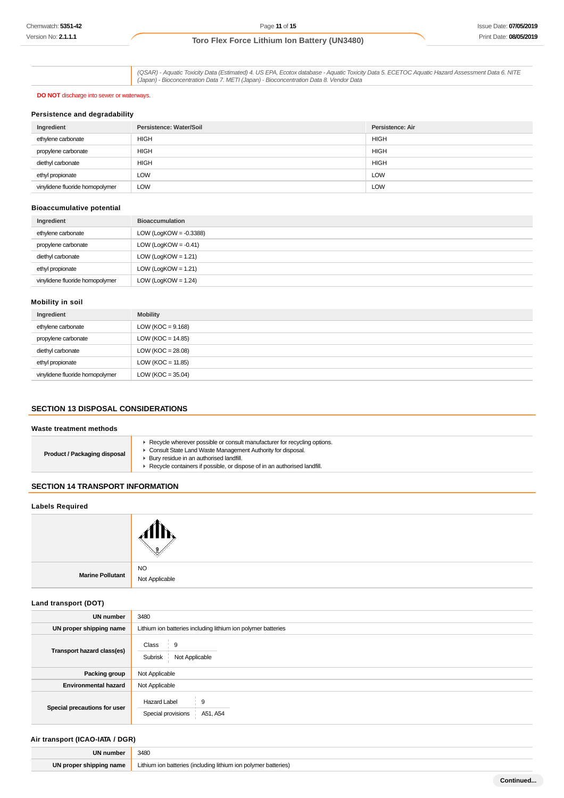(QSAR) - Aquatic Toxicity Data (Estimated) 4. US EPA, Ecotox database - Aquatic Toxicity Data 5. ECETOC Aquatic Hazard Assessment Data 6. NITE (Japan) - Bioconcentration Data 7. METI (Japan) - Bioconcentration Data 8. Vendor Data

### **DO NOT** discharge into sewer or waterways.

### **Persistence and degradability**

| Ingredient                      | Persistence: Water/Soil | Persistence: Air |
|---------------------------------|-------------------------|------------------|
| ethylene carbonate              | <b>HIGH</b>             | <b>HIGH</b>      |
| propylene carbonate             | <b>HIGH</b>             | <b>HIGH</b>      |
| diethyl carbonate               | <b>HIGH</b>             | <b>HIGH</b>      |
| ethyl propionate                | LOW                     | <b>LOW</b>       |
| vinylidene fluoride homopolymer | <b>LOW</b>              | <b>LOW</b>       |

### **Bioaccumulative potential**

| Ingredient                      | <b>Bioaccumulation</b>    |
|---------------------------------|---------------------------|
| ethylene carbonate              | LOW (LogKOW = $-0.3388$ ) |
| propylene carbonate             | LOW (LogKOW = $-0.41$ )   |
| diethyl carbonate               | LOW (LogKOW = $1.21$ )    |
| ethyl propionate                | LOW (LogKOW = $1.21$ )    |
| vinylidene fluoride homopolymer | LOW (LogKOW = $1.24$ )    |

## **Mobility in soil**

| Ingredient                      | <b>Mobility</b>       |
|---------------------------------|-----------------------|
| ethylene carbonate              | LOW ( $KOC = 9.168$ ) |
| propylene carbonate             | LOW ( $KOC = 14.85$ ) |
| diethyl carbonate               | LOW ( $KOC = 28.08$ ) |
| ethyl propionate                | LOW ( $KOC = 11.85$ ) |
| vinylidene fluoride homopolymer | LOW ( $KOC = 35.04$ ) |

## **SECTION 13 DISPOSAL CONSIDERATIONS**

### **Waste treatment methods**

| Recycle wherever possible or consult manufacturer for recycling options.<br>Consult State Land Waste Management Authority for disposal.<br><b>Product / Packaging disposal</b><br>Bury residue in an authorised landfill.<br>Recycle containers if possible, or dispose of in an authorised landfill. |
|-------------------------------------------------------------------------------------------------------------------------------------------------------------------------------------------------------------------------------------------------------------------------------------------------------|
|-------------------------------------------------------------------------------------------------------------------------------------------------------------------------------------------------------------------------------------------------------------------------------------------------------|

## **SECTION 14 TRANSPORT INFORMATION**

## **Labels Required**

|                  | . IX                 |
|------------------|----------------------|
| Marine Pollutant | NO<br>Not Applicable |

### **Land transport (DOT)**

| <b>UN number</b>             | 3480                                                          |
|------------------------------|---------------------------------------------------------------|
| UN proper shipping name      | Lithium ion batteries including lithium ion polymer batteries |
| Transport hazard class(es)   | Class<br>-9<br>Not Applicable<br>Subrisk                      |
| Packing group                | Not Applicable                                                |
| <b>Environmental hazard</b>  | Not Applicable                                                |
| Special precautions for user | <b>Hazard Label</b><br>9<br>Special provisions<br>A51, A54    |

## **Air transport (ICAO-IATA / DGR)**

| <b>UN number</b>         | 3480                                                           |
|--------------------------|----------------------------------------------------------------|
| <b>IN</b> prope.<br>name | hatteries<br>ithium<br>(eries)<br>Im <sup>1</sup><br>lithii im |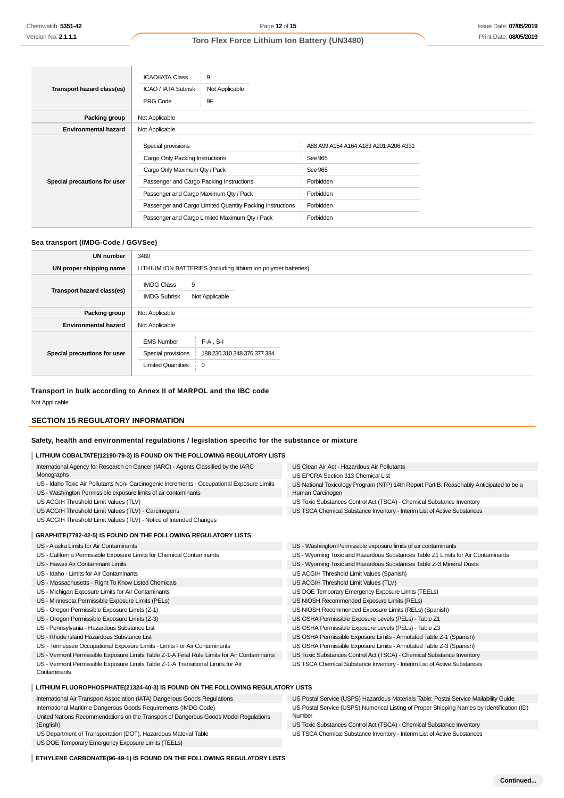|                              | <b>ICAO/IATA Class</b>                                    | 9                                              |                                       |  |
|------------------------------|-----------------------------------------------------------|------------------------------------------------|---------------------------------------|--|
| Transport hazard class(es)   | <b>ICAO / IATA Subrisk</b>                                | Not Applicable                                 |                                       |  |
|                              | <b>ERG Code</b>                                           | 9F                                             |                                       |  |
| Packing group                | Not Applicable                                            |                                                |                                       |  |
| <b>Environmental hazard</b>  | Not Applicable                                            |                                                |                                       |  |
|                              | Special provisions                                        |                                                | A88 A99 A154 A164 A183 A201 A206 A331 |  |
|                              | Cargo Only Packing Instructions                           |                                                | See 965                               |  |
|                              | Cargo Only Maximum Qty / Pack                             |                                                | See 965                               |  |
| Special precautions for user | Passenger and Cargo Packing Instructions                  |                                                | Forbidden                             |  |
|                              | Passenger and Cargo Maximum Qty / Pack                    |                                                | Forbidden                             |  |
|                              | Passenger and Cargo Limited Quantity Packing Instructions |                                                | Forbidden                             |  |
|                              |                                                           | Passenger and Cargo Limited Maximum Qty / Pack | Forbidden                             |  |

## **Sea transport (IMDG-Code / GGVSee)**

| <b>UN</b> number             | 3480                                                                 |                                                 |  |
|------------------------------|----------------------------------------------------------------------|-------------------------------------------------|--|
| UN proper shipping name      | LITHIUM ION BATTERIES (including lithium ion polymer batteries)      |                                                 |  |
| Transport hazard class(es)   | <b>IMDG Class</b><br>$\frac{1}{2}$ 9<br><b>IMDG Subrisk</b>          | Not Applicable                                  |  |
| Packing group                | Not Applicable                                                       |                                                 |  |
| <b>Environmental hazard</b>  | Not Applicable                                                       |                                                 |  |
| Special precautions for user | <b>EMS Number</b><br>Special provisions<br><b>Limited Quantities</b> | $F-A$ , S-I<br>188 230 310 348 376 377 384<br>0 |  |

### **Transport in bulk according to Annex II of MARPOL and the IBC code**

Not Applicable

## **SECTION 15 REGULATORY INFORMATION**

## **Safety, health and environmental regulations / legislation specific for the substance or mixture**

## **LITHIUM COBALTATE(12190-79-3) IS FOUND ON THE FOLLOWING REGULATORY LISTS**

| International Agency for Research on Cancer (IARC) - Agents Classified by the IARC          | US Clean Air Act - Hazardous Air Pollutants                                                |
|---------------------------------------------------------------------------------------------|--------------------------------------------------------------------------------------------|
| Monographs                                                                                  | US EPCRA Section 313 Chemical List                                                         |
| US - Idaho Toxic Air Pollutants Non- Carcinogenic Increments - Occupational Exposure Limits | US National Toxicology Program (NTP) 14th Report Part B. Reasonably Anticipated to be a    |
| US - Washington Permissible exposure limits of air contaminants                             | Human Carcinogen                                                                           |
| US ACGIH Threshold Limit Values (TLV)                                                       | US Toxic Substances Control Act (TSCA) - Chemical Substance Inventory                      |
| US ACGIH Threshold Limit Values (TLV) - Carcinogens                                         | US TSCA Chemical Substance Inventory - Interim List of Active Substances                   |
| US ACGIH Threshold Limit Values (TLV) - Notice of Intended Changes                          |                                                                                            |
| GRAPHITE(7782-42-5) IS FOUND ON THE FOLLOWING REGULATORY LISTS                              |                                                                                            |
| US - Alaska Limits for Air Contaminants                                                     | US - Washington Permissible exposure limits of air contaminants                            |
| US - California Permissible Exposure Limits for Chemical Contaminants                       | US - Wyoming Toxic and Hazardous Substances Table Z1 Limits for Air Contaminants           |
| US - Hawaii Air Contaminant Limits                                                          | US - Wyoming Toxic and Hazardous Substances Table Z-3 Mineral Dusts                        |
| US - Idaho - Limits for Air Contaminants                                                    | US ACGIH Threshold Limit Values (Spanish)                                                  |
| US - Massachusetts - Right To Know Listed Chemicals                                         | US ACGIH Threshold Limit Values (TLV)                                                      |
| US - Michigan Exposure Limits for Air Contaminants                                          | US DOE Temporary Emergency Exposure Limits (TEELs)                                         |
| US - Minnesota Permissible Exposure Limits (PELs)                                           | US NIOSH Recommended Exposure Limits (RELs)                                                |
| US - Oregon Permissible Exposure Limits (Z-1)                                               | US NIOSH Recommended Exposure Limits (RELs) (Spanish)                                      |
| US - Oregon Permissible Exposure Limits (Z-3)                                               | US OSHA Permissible Exposure Levels (PELs) - Table Z1                                      |
| US - Pennsylvania - Hazardous Substance List                                                | US OSHA Permissible Exposure Levels (PELs) - Table Z3                                      |
| US - Rhode Island Hazardous Substance List                                                  | US OSHA Permissible Exposure Limits - Annotated Table Z-1 (Spanish)                        |
| US - Tennessee Occupational Exposure Limits - Limits For Air Contaminants                   | US OSHA Permissible Exposure Limits - Annotated Table Z-3 (Spanish)                        |
| US - Vermont Permissible Exposure Limits Table Z-1-A Final Rule Limits for Air Contaminants | US Toxic Substances Control Act (TSCA) - Chemical Substance Inventory                      |
| US - Vermont Permissible Exposure Limits Table Z-1-A Transitional Limits for Air            | US TSCA Chemical Substance Inventory - Interim List of Active Substances                   |
| Contaminants                                                                                |                                                                                            |
| LITHIUM FLUOROPHOSPHATE(21324-40-3) IS FOUND ON THE FOLLOWING REGULATORY LISTS              |                                                                                            |
| International Air Transport Association (IATA) Dangerous Goods Regulations                  | US Postal Service (USPS) Hazardous Materials Table: Postal Service Mailability Guide       |
| International Maritime Dangerous Goods Requirements (IMDG Code)                             | US Postal Service (USPS) Numerical Listing of Proper Shipping Names by Identification (ID) |
| United Nations Recommendations on the Transport of Dangerous Goods Model Regulations        | Number                                                                                     |
| (English)                                                                                   | US Toxic Substances Control Act (TSCA) - Chemical Substance Inventory                      |
| US Department of Transportation (DOT), Hazardous Material Table                             | US TSCA Chemical Substance Inventory - Interim List of Active Substances                   |
| US DOE Temporary Emergency Exposure Limits (TEELs)                                          |                                                                                            |

**ETHYLENE CARBONATE(96-49-1) IS FOUND ON THE FOLLOWING REGULATORY LISTS**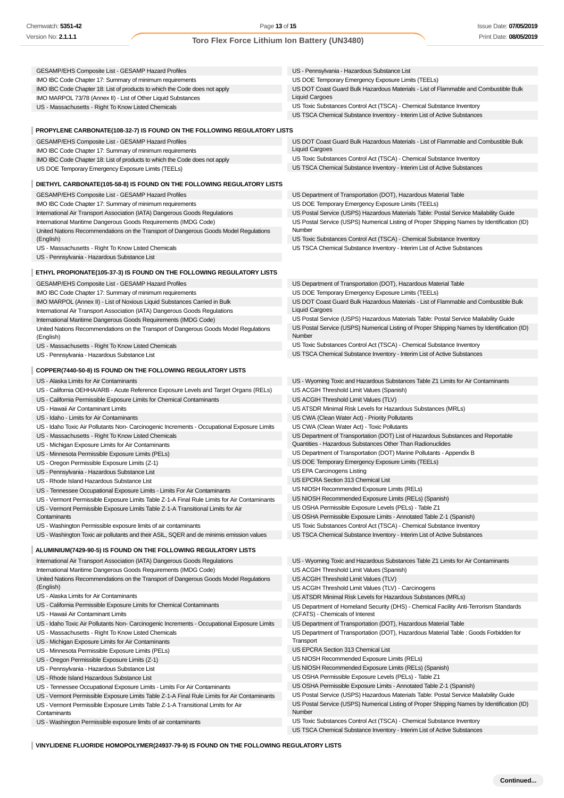#### GESAMP/EHS Composite List - GESAMP Hazard Profiles IMO IBC Code Chapter 17: Summary of minimum requirements IMO IBC Code Chapter 18: List of products to which the Code does not apply IMO MARPOL 73/78 (Annex II) - List of Other Liquid Substances US - Massachusetts - Right To Know Listed Chemicals US - Pennsylvania - Hazardous Substance List US DOE Temporary Emergency Exposure Limits (TEELs) US DOT Coast Guard Bulk Hazardous Materials - List of Flammable and Combustible Bulk Liquid Cargoes US Toxic Substances Control Act (TSCA) - Chemical Substance Inventory US TSCA Chemical Substance Inventory - Interim List of Active Substances **PROPYLENE CARBONATE(108-32-7) IS FOUND ON THE FOLLOWING REGULATORY LISTS** GESAMP/EHS Composite List - GESAMP Hazard Profiles IMO IBC Code Chapter 17: Summary of minimum requirements IMO IBC Code Chapter 18: List of products to which the Code does not apply US DOE Temporary Emergency Exposure Limits (TEELs) US DOT Coast Guard Bulk Hazardous Materials - List of Flammable and Combustible Bulk Liquid Cargoes US Toxic Substances Control Act (TSCA) - Chemical Substance Inventory US TSCA Chemical Substance Inventory - Interim List of Active Substances **DIETHYL CARBONATE(105-58-8) IS FOUND ON THE FOLLOWING REGULATORY LISTS** GESAMP/EHS Composite List - GESAMP Hazard Profiles IMO IBC Code Chapter 17: Summary of minimum requirements International Air Transport Association (IATA) Dangerous Goods Regulations International Maritime Dangerous Goods Requirements (IMDG Code) United Nations Recommendations on the Transport of Dangerous Goods Model Regulations (English) US - Massachusetts - Right To Know Listed Chemicals US - Pennsylvania - Hazardous Substance List US Department of Transportation (DOT), Hazardous Material Table US DOE Temporary Emergency Exposure Limits (TEELs) US Postal Service (USPS) Hazardous Materials Table: Postal Service Mailability Guide US Postal Service (USPS) Numerical Listing of Proper Shipping Names by Identification (ID) Number US Toxic Substances Control Act (TSCA) - Chemical Substance Inventory US TSCA Chemical Substance Inventory - Interim List of Active Substances **ETHYL PROPIONATE(105-37-3) IS FOUND ON THE FOLLOWING REGULATORY LISTS** GESAMP/EHS Composite List - GESAMP Hazard Profiles IMO IBC Code Chapter 17: Summary of minimum requirements IMO MARPOL (Annex II) - List of Noxious Liquid Substances Carried in Bulk International Air Transport Association (IATA) Dangerous Goods Regulations International Maritime Dangerous Goods Requirements (IMDG Code) United Nations Recommendations on the Transport of Dangerous Goods Model Regulations (English) US - Massachusetts - Right To Know Listed Chemicals US - Pennsylvania - Hazardous Substance List US Department of Transportation (DOT), Hazardous Material Table US DOE Temporary Emergency Exposure Limits (TEELs) US DOT Coast Guard Bulk Hazardous Materials - List of Flammable and Combustible Bulk Liquid Cargoes US Postal Service (USPS) Hazardous Materials Table: Postal Service Mailability Guide US Postal Service (USPS) Numerical Listing of Proper Shipping Names by Identification (ID) Number US Toxic Substances Control Act (TSCA) - Chemical Substance Inventory US TSCA Chemical Substance Inventory - Interim List of Active Substances **COPPER(7440-50-8) IS FOUND ON THE FOLLOWING REGULATORY LISTS** US - Alaska Limits for Air Contaminants US - California OEHHA/ARB - Acute Reference Exposure Levels and Target Organs (RELs) US - California Permissible Exposure Limits for Chemical Contaminants US - Hawaii Air Contaminant Limits US - Idaho - Limits for Air Contaminants US - Idaho Toxic Air Pollutants Non- Carcinogenic Increments - Occupational Exposure Limits US - Massachusetts - Right To Know Listed Chemicals US - Michigan Exposure Limits for Air Contaminants US - Minnesota Permissible Exposure Limits (PELs) US - Oregon Permissible Exposure Limits (Z-1) US - Pennsylvania - Hazardous Substance List US - Rhode Island Hazardous Substance List US - Tennessee Occupational Exposure Limits - Limits For Air Contaminants US - Vermont Permissible Exposure Limits Table Z-1-A Final Rule Limits for Air Contaminants US - Vermont Permissible Exposure Limits Table Z-1-A Transitional Limits for Air **Contaminants** US - Washington Permissible exposure limits of air contaminants US - Washington Toxic air pollutants and their ASIL, SQER and de minimis emission values US - Wyoming Toxic and Hazardous Substances Table Z1 Limits for Air Contaminants US ACGIH Threshold Limit Values (Spanish) US ACGIH Threshold Limit Values (TLV) US ATSDR Minimal Risk Levels for Hazardous Substances (MRLs) US CWA (Clean Water Act) - Priority Pollutants US CWA (Clean Water Act) - Toxic Pollutants US Department of Transportation (DOT) List of Hazardous Substances and Reportable Quantities - Hazardous Substances Other Than Radionuclides US Department of Transportation (DOT) Marine Pollutants - Appendix B US DOE Temporary Emergency Exposure Limits (TEELs) US EPA Carcinogens Listing US EPCRA Section 313 Chemical List US NIOSH Recommended Exposure Limits (RELs) US NIOSH Recommended Exposure Limits (RELs) (Spanish) US OSHA Permissible Exposure Levels (PELs) - Table Z1 US OSHA Permissible Exposure Limits - Annotated Table Z-1 (Spanish) US Toxic Substances Control Act (TSCA) - Chemical Substance Inventory US TSCA Chemical Substance Inventory - Interim List of Active Substances **ALUMINIUM(7429-90-5) IS FOUND ON THE FOLLOWING REGULATORY LISTS** International Air Transport Association (IATA) Dangerous Goods Regulations International Maritime Dangerous Goods Requirements (IMDG Code) United Nations Recommendations on the Transport of Dangerous Goods Model Regulations (English) US - Alaska Limits for Air Contaminants US - California Permissible Exposure Limits for Chemical Contaminants US - Hawaii Air Contaminant Limits US - Idaho Toxic Air Pollutants Non- Carcinogenic Increments - Occupational Exposure Limits US - Massachusetts - Right To Know Listed Chemicals US - Michigan Exposure Limits for Air Contaminants US - Minnesota Permissible Exposure Limits (PELs) US - Oregon Permissible Exposure Limits (Z-1) US - Pennsylvania - Hazardous Substance List US - Rhode Island Hazardous Substance List US - Tennessee Occupational Exposure Limits - Limits For Air Contaminants US - Vermont Permissible Exposure Limits Table Z-1-A Final Rule Limits for Air Contaminants US - Vermont Permissible Exposure Limits Table Z-1-A Transitional Limits for Air **Contaminants** US - Wyoming Toxic and Hazardous Substances Table Z1 Limits for Air Contaminants US ACGIH Threshold Limit Values (Spanish) US ACGIH Threshold Limit Values (TLV) US ACGIH Threshold Limit Values (TLV) - Carcinogens US ATSDR Minimal Risk Levels for Hazardous Substances (MRLs) US Department of Homeland Security (DHS) - Chemical Facility Anti-Terrorism Standards (CFATS) - Chemicals of Interest US Department of Transportation (DOT), Hazardous Material Table US Department of Transportation (DOT), Hazardous Material Table : Goods Forbidden for **Transport** US EPCRA Section 313 Chemical List US NIOSH Recommended Exposure Limits (RELs) US NIOSH Recommended Exposure Limits (RELs) (Spanish) US OSHA Permissible Exposure Levels (PELs) - Table Z1 US OSHA Permissible Exposure Limits - Annotated Table Z-1 (Spanish) US Postal Service (USPS) Hazardous Materials Table: Postal Service Mailability Guide US Postal Service (USPS) Numerical Listing of Proper Shipping Names by Identification (ID) Number

US - Washington Permissible exposure limits of air contaminants

US Toxic Substances Control Act (TSCA) - Chemical Substance Inventory US TSCA Chemical Substance Inventory - Interim List of Active Substances

**VINYLIDENE FLUORIDE HOMOPOLYMER(24937-79-9) IS FOUND ON THE FOLLOWING REGULATORY LISTS**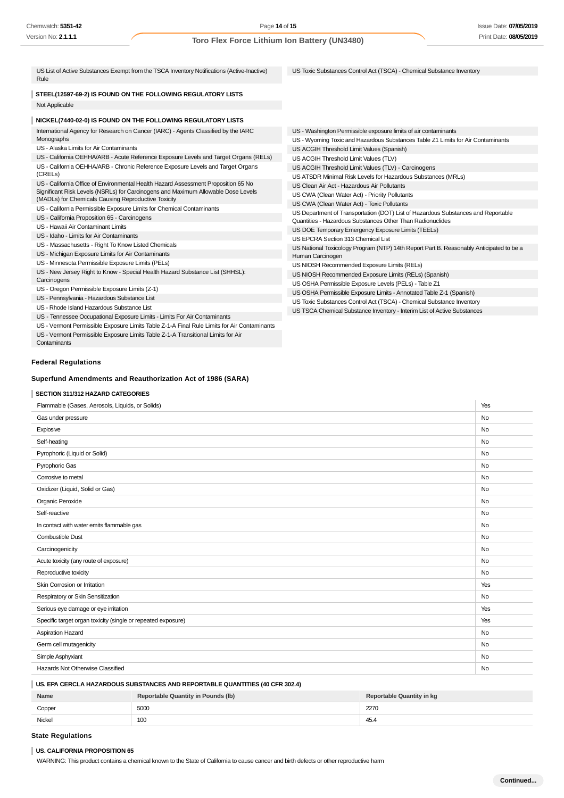US Toxic Substances Control Act (TSCA) - Chemical Substance Inventory

US - Washington Permissible exposure limits of air contaminants

US ACGIH Threshold Limit Values (TLV) - Carcinogens US ATSDR Minimal Risk Levels for Hazardous Substances (MRLs)

Quantities - Hazardous Substances Other Than Radionuclides US DOE Temporary Emergency Exposure Limits (TEELs)

US OSHA Permissible Exposure Limits - Annotated Table Z-1 (Spanish) US Toxic Substances Control Act (TSCA) - Chemical Substance Inventory US TSCA Chemical Substance Inventory - Interim List of Active Substances

US ACGIH Threshold Limit Values (Spanish) US ACGIH Threshold Limit Values (TLV)

US Clean Air Act - Hazardous Air Pollutants US CWA (Clean Water Act) - Priority Pollutants US CWA (Clean Water Act) - Toxic Pollutants

US EPCRA Section 313 Chemical List

US NIOSH Recommended Exposure Limits (RELs) US NIOSH Recommended Exposure Limits (RELs) (Spanish) US OSHA Permissible Exposure Levels (PELs) - Table Z1

Human Carcinogen

US - Wyoming Toxic and Hazardous Substances Table Z1 Limits for Air Contaminants

US Department of Transportation (DOT) List of Hazardous Substances and Reportable

US National Toxicology Program (NTP) 14th Report Part B. Reasonably Anticipated to be a

| US List of Active Substances Exempt from the TSCA Inventory Notifications (Active-Inactive) |  |
|---------------------------------------------------------------------------------------------|--|
| Rule                                                                                        |  |
|                                                                                             |  |

**STEEL(12597-69-2) IS FOUND ON THE FOLLOWING REGULATORY LISTS** Not Applicable

### **NICKEL(7440-02-0) IS FOUND ON THE FOLLOWING REGULATORY LISTS**

International Agency for Research on Cancer (IARC) - Agents Classified by the IARC Monographs

US - Alaska Limits for Air Contaminants

US - California OEHHA/ARB - Acute Reference Exposure Levels and Target Organs (RELs) US - California OEHHA/ARB - Chronic Reference Exposure Levels and Target Organs (CRELs)

US - California Office of Environmental Health Hazard Assessment Proposition 65 No Significant Risk Levels (NSRLs) for Carcinogens and Maximum Allowable Dose Levels (MADLs) for Chemicals Causing Reproductive Toxicity

US - California Permissible Exposure Limits for Chemical Contaminants

- US California Proposition 65 Carcinogens
- US Hawaii Air Contaminant Limits
- US Idaho Limits for Air Contaminants
- US Massachusetts Right To Know Listed Chemicals
- US Michigan Exposure Limits for Air Contaminants
- US Minnesota Permissible Exposure Limits (PELs)

US - New Jersey Right to Know - Special Health Hazard Substance List (SHHSL): Carcinogens

US - Oregon Permissible Exposure Limits (Z-1)

US - Pennsylvania - Hazardous Substance List

US - Rhode Island Hazardous Substance List

US - Tennessee Occupational Exposure Limits - Limits For Air Contaminants

US - Vermont Permissible Exposure Limits Table Z-1-A Final Rule Limits for Air Contaminants

US - Vermont Permissible Exposure Limits Table Z-1-A Transitional Limits for Air **Contaminants** 

### **Federal Regulations**

### **Superfund Amendments and Reauthorization Act of 1986 (SARA)**

### **SECTION 311/312 HAZARD CATEGORIES**

## Flammable (Gases, Aerosols, Liquids, or Solids) Yes Gas under pressure **No. 2006** No. 2006 No. 2006 No. 2006 No. 2006 No. 2006 No. 2006 No. 2006 No. 2006 No. 2006 No. 2006 No. 2006 No. 2006 No. 2006 No. 2006 No. 2006 No. 2006 No. 2006 No. 2006 No. 2006 No. 2006 No. 2006 No. explosive the contract of the contract of the contract of the contract of the contract of the contract of the contract of the contract of the contract of the contract of the contract of the contract of the contract of the Self-heating No Pyrophoric (Liquid or Solid) No. Note that the state of the state of the state of the state of the state of the state of the state of the state of the state of the state of the state of the state of the state of the state Pyrophoric Gas Note that the contract of the contract of the contract of the contract of the contract of the contract of the contract of the contract of the contract of the contract of the contract of the contract of the c Corrosive to metal No Oxidizer (Liquid, Solid or Gas) No Organic Peroxide No. 2006 No. 2007 No. 2008 No. 2008 No. 2008 No. 2008 No. 2009 No. 2008 No. 2009 No. 2009 No. Self-reactive No. No. 2006 No. 2006 No. 2006 No. 2006 No. 2006 No. 2006 No. 2006 No. 2006 No. 2006 No. 2006 No In contact with water emits flammable gas No was not all the state of the state of the state of the state of the state of the state of the state of the state of the state of the state of the state of the state of the state Combustible Dust No Carcinogenicity No Acute toxicity (any route of exposure) No Reproductive toxicity No. No. 2006. The state of the state of the state of the state of the state of the state of the state of the state of the state of the state of the state of the state of the state of the state of the **Skin Corrosion or Irritation** Yes Respiratory or Skin Sensitization No. No. 2006. The Sensitization No. 2006. No sensitization No. 2006. No. 2006. No. 2007. No. 2008. No. 2008. No. 2008. No. 2008. No. 2008. No. 2008. No. 2008. No. 2008. No. 2008. No. 2008. Serious eve damage or eve irritation  $\qquad \qquad$  Yes Specific target organ toxicity (single or repeated exposure) Yes Aspiration Hazard No Germ cell mutagenicity No. No. 2006 No. 2012 12:30 No. 2012 12:30 No. 2012 12:30 No. 2012 12:30 No. 2012 12:30 No. 2013 12:30 No. 2013 12:30 No. 2013 12:30 No. 2013 12:30 No. 2013 12:30 No. 2013 12:30 No. 2013 12:30 No. 20 Simple Asphyxiant No and the Second Contract of the Second Contract of the Second Contract of No and The Second Contract of No and The Second Contract of No and The Second Contract of No and The Second Contract of No and T Hazards Not Otherwise Classified Note that the classified Note of the Note of the Note of the Note of the Note of the Note of the Note of the Note of the Note of the Note of the Note of the Note of the Note of the Note of

#### **US. EPA CERCLA HAZARDOUS SUBSTANCES AND REPORTABLE QUANTITIES (40 CFR 302.4)**

| Name   | <b>Reportable Quantity in Pounds (lb)</b> | Reportable Quantity in kg |
|--------|-------------------------------------------|---------------------------|
| Copper | 5000                                      | 2270                      |
| Nickel | 100                                       | 45.4                      |

### **State Regulations**

#### **US. CALIFORNIA PROPOSITION 65**

WARNING: This product contains a chemical known to the State of California to cause cancer and birth defects or other reproductive harm